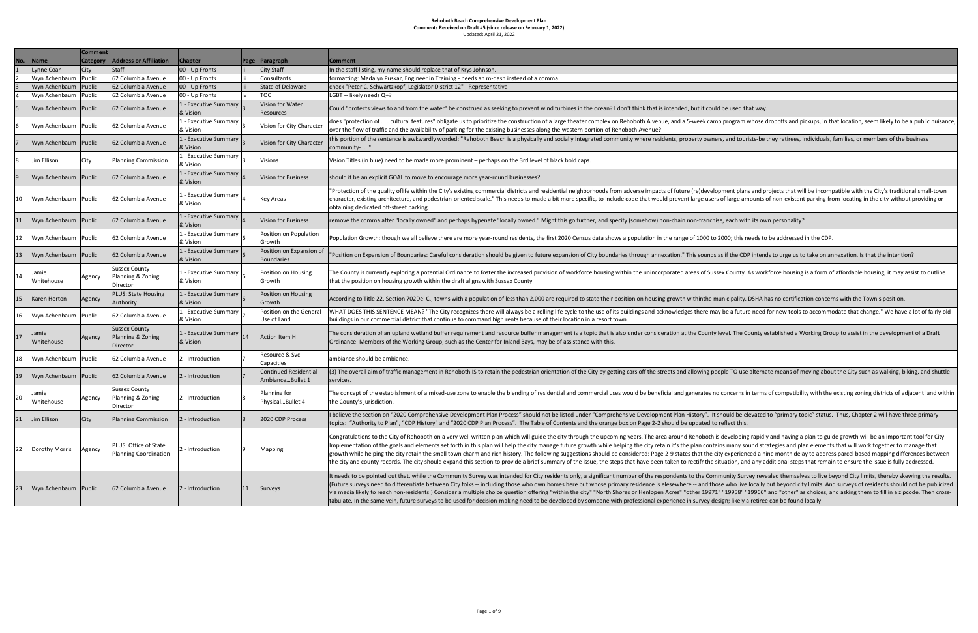|                |                     | <b>Comment</b>  |                                                       |                                                      |             |                                                  |                                                                                                                                                                                                                                                                                                                                                         |
|----------------|---------------------|-----------------|-------------------------------------------------------|------------------------------------------------------|-------------|--------------------------------------------------|---------------------------------------------------------------------------------------------------------------------------------------------------------------------------------------------------------------------------------------------------------------------------------------------------------------------------------------------------------|
| No.            | <b>Name</b>         | <b>Category</b> | <b>Address or Affiliation</b>                         | <b>Chapter</b>                                       | <b>Page</b> | Paragraph                                        | Comment                                                                                                                                                                                                                                                                                                                                                 |
|                | Lynne Coan          | <b>City</b>     | <b>Staff</b>                                          | 00 - Up Fronts                                       |             | City Staff                                       | In the staff listing, my name should replace that of Krys Johnson.                                                                                                                                                                                                                                                                                      |
| $\overline{2}$ | Wyn Achenbaum       | Public          | 62 Columbia Avenue                                    | 00 - Up Fronts                                       | iii         | Consultants                                      | formatting: Madalyn Puskar, Engineer in Training - needs an m-dash instead of a                                                                                                                                                                                                                                                                         |
| 3              | Wyn Achenbaum       | Public          | 62 Columbia Avenue                                    | 00 - Up Fronts                                       |             | <b>State of Delaware</b>                         | check "Peter C. Schwartzkopf, Legislator District 12" - Representative                                                                                                                                                                                                                                                                                  |
| $\overline{4}$ | Wyn Achenbaum       | Public          | 62 Columbia Avenue                                    | 00 - Up Fronts                                       | iv          | <b>TOC</b>                                       | LGBT -- likely needs Q+?                                                                                                                                                                                                                                                                                                                                |
| 5              | Wyn Achenbaum       | Public          | 62 Columbia Avenue                                    | 1 - Executive Summary<br>& Vision                    |             | Vision for Water<br>Resources                    | Could "protects views to and from the water" be construed as seeking to prevent                                                                                                                                                                                                                                                                         |
| 6              | Wyn Achenbaum       | Public          | 62 Columbia Avenue                                    | 1 - Executive Summary<br>& Vision                    |             | Vision for City Character                        | does "protection of cultural features" obligate us to prioritize the constructior<br>over the flow of traffic and the availability of parking for the existing businesses a                                                                                                                                                                             |
|                | Wyn Achenbaum       | Public          | 62 Columbia Avenue                                    | 1 - Executive Summary<br>& Vision                    |             | Vision for City Character                        | this portion of the sentence is awkwardly worded: "Rehoboth Beach is a physicall<br>community-  "                                                                                                                                                                                                                                                       |
| 8              | Jim Ellison         | City            | Planning Commission                                   | 1 - Executive Summary<br>& Vision                    | l3          | <b>Visions</b>                                   | Vision Titles (in blue) need to be made more prominent - perhaps on the 3rd leve                                                                                                                                                                                                                                                                        |
| $\overline{9}$ | Wyn Achenbaum       | Public          | 62 Columbia Avenue                                    | 1 - Executive Summary<br>& Vision                    |             | <b>Vision for Business</b>                       | should it be an explicit GOAL to move to encourage more year-round businesses?                                                                                                                                                                                                                                                                          |
| 10             | Wyn Achenbaum       | Public          | 62 Columbia Avenue                                    | 1 - Executive Summary<br>& Vision                    |             | <b>Key Areas</b>                                 | 'Protection of the quality oflife within the City's existing commercial districts and<br>character, existing architecture, and pedestrian-oriented scale." This needs to ma<br>obtaining dedicated off-street parking.                                                                                                                                  |
| 11             | Wyn Achenbaum       | Public          | 62 Columbia Avenue                                    | 1 - Executive Summary<br>& Vision                    |             | <b>Vision for Business</b>                       | remove the comma after "locally owned" and perhaps hypenate "locally owned."                                                                                                                                                                                                                                                                            |
| 12             | Wyn Achenbaum       | Public          | 62 Columbia Avenue                                    | $\sqrt{1 - Executive}$ Summary $\Big _6$<br>& Vision |             | Position on Population<br>Growth                 | Population Growth: though we all believe there are more year-round residents, tl                                                                                                                                                                                                                                                                        |
| 13             | Wyn Achenbaum       | Public          | 62 Columbia Avenue                                    | 1 - Executive Summary<br>& Vision                    |             | Position on Expansion of<br><b>Boundaries</b>    | 'Position on Expansion of Boundaries: Careful consideration should be given to fu                                                                                                                                                                                                                                                                       |
| 14             | Jamie<br>Whitehouse | Agency          | <b>Sussex County</b><br>Planning & Zoning<br>Director | 1 - Executive Summary $\vert_6$<br>& Vision          |             | Position on Housing<br>Growth                    | The County is currently exploring a potential Ordinance to foster the increased pr<br>that the position on housing growth within the draft aligns with Sussex County.                                                                                                                                                                                   |
| 15             | Karen Horton        | Agency          | <b>PLUS: State Housing</b><br>Authority               | 1 - Executive Summary  <br>& Vision                  |             | Position on Housing<br>Growth                    | According to Title 22, Section 702Del C., towns with a population of less than 2,00                                                                                                                                                                                                                                                                     |
| 16             | Wyn Achenbaum       | Public          | 62 Columbia Avenue                                    | 1 - Executive Summary<br>& Vision                    |             | Position on the General<br>Use of Land           | WHAT DOES THIS SENTENCE MEAN? "The City recognizes there will always be a r<br>buildings in our commercial district that continue to command high rents because                                                                                                                                                                                         |
| 17             | Jamie<br>Whitehouse | Agency          | <b>Sussex County</b><br>Planning & Zoning<br>Director | 1 - Executive Summary $ _{14}$<br>& Vision           |             | <b>Action Item H</b>                             | The consideration of an upland wetland buffer requirement and resource buffer r<br>Ordinance. Members of the Working Group, such as the Center for Inland Bays, m                                                                                                                                                                                       |
| 18             | Wyn Achenbaum       | Public          | 62 Columbia Avenue                                    | 2 - Introduction                                     |             | Resource & Svc<br>Capacities                     | ambiance should be ambiance                                                                                                                                                                                                                                                                                                                             |
| 19             | Wyn Achenbaum       | Public          | 62 Columbia Avenue                                    | 2 - Introduction                                     |             | <b>Continued Residential</b><br>AmbianceBullet 1 | (3) The overall aim of traffic management in Rehoboth IS to retain the pedestrian<br>services.                                                                                                                                                                                                                                                          |
| 20             | Jamie<br>Whitehouse | Agency          | <b>Sussex County</b><br>Planning & Zoning<br>Director | 2 - Introduction                                     | 8           | Planning for<br>PhysicalBullet 4                 | The concept of the establishment of a mixed-use zone to enable the blending of r<br>the County's jurisdiction.                                                                                                                                                                                                                                          |
| 21             | Jim Ellison         | <b>City</b>     | <b>Planning Commission</b>                            | 2 - Introduction                                     | 8           | 2020 CDP Process                                 | I believe the section on "2020 Comprehensive Development Plan Process" should<br>topics: "Authority to Plan", "CDP History" and "2020 CDP Plan Process". The Tab                                                                                                                                                                                        |
| 22             | Dorothy Morris      | Agency          | PLUS: Office of State<br>Planning Coordination        | 2 - Introduction                                     |             | Mapping                                          | Congratulations to the City of Rehoboth on a very well written plan which will gui<br>Implementation of the goals and elements set forth in this plan will help the city r<br>growth while helping the city retain the small town charm and rich history. The fo<br>the city and county records. The city should expand this section to provide a brief |
| 23             | Wyn Achenbaum       | Public          | 62 Columbia Avenue                                    | 2 - Introduction                                     | 11          | Surveys                                          | It needs to be pointed out that, while the Community Survey was intended for Cit<br>(Future surveys need to differentiate between City folks -- including those who ov<br>via media likely to reach non-residents.) Consider a multiple choice question offer<br>tabulate. In the same vein, future surveys to be used for decision-making need to      |

an m-dash instead of a comma.

d as seeking to prevent wind turbines in the ocean? I don't think that is intended, but it could be used that way.

ioritize the construction of a large theater complex on Rehoboth A venue, and a 5-week camp program whose dropoffs and pickups, in that location, seem likely to be a public nuisance, ne existing businesses along the western portion of Rehoboth Avenue?

oth Beach is a physically and socially integrated community where residents, property owners, and tourists-be they retirees, individuals, families, or members of the business

perhaps on the 3rd level of black bold caps.

ommercial districts and residential neighborhoods from adverse impacts of future (re)development plans and projects that will be incompatible with the City's traditional small-town scale." This needs to made a bit more specific, to include code that would prevent large users of large amounts of non-existent parking from locating in the city without providing or

enate "locally owned." Might this go further, and specify (somehow) non-chain non-franchise, each with its own personality?

year-round residents, the first 2020 Census data shows a population in the range of 1000 to 2000; this needs to be addressed in the CDP.

n should be given to future expansion of City boundaries through annexation." This sounds as if the CDP intends to urge us to take on annexation. Is that the intention?

foster the increased provision of workforce housing within the unincorporated areas of Sussex County. As workforce housing is a form of affordable housing, it may assist to outline with Sussex County.

ulation of less than 2,000 are required to state their position on housing growth withinthe municipality. DSHA has no certification concerns with the Town's position.

there will always be a rolling life cycle to the use of its buildings and acknowledges there may be a future need for new tools to accommodate that change." We have a lot of fairly old hand high rents because of their location in a resort town.

it and resource buffer management is a topic that is also under consideration at the County level. The County established a Working Group to assist in the development of a Draft enter for Inland Bays, may be of assistance with this.

o retain the pedestrian orientation of the City by getting cars off the streets and allowing people TO use alternate means of moving about the City such as walking, biking, and shuttle

enable the blending of residential and commercial uses would be beneficial and generates no concerns in terms of compatibility with the existing zoning districts of adjacent land within

nt Plan Process" should not be listed under "Comprehensive Development Plan History". It should be elevated to "primary topic" status. Thus, Chapter 2 will have three primary Plan Process". The Table of Contents and the orange box on Page 2-2 should be updated to reflect this.

tten plan which will guide the city through the upcoming years. The area around Rehoboth is developing rapidly and having a plan to guide growth will be an important tool for City. plan will help the city manage future growth while helping the city retain it's the plan contains many sound strategies and plan elements that will work together to manage that and rich history. The following suggestions should be considered: Page 2-9 states that the city experienced a nine month delay to address parcel based mapping differences between ection to provide a brief summary of the issue, the steps that have been taken to rectifr the situation, and any additional steps that remain to ensure the issue is fully addressed.

ey was intended for City residents only, a significant number of the respondents to the Community Survey revealed themselves to live beyond City limits, thereby skewing the results. including those who own homes here but whose primary residence is elesewhere -- and those who live locally but beyond city limits. And surveys of residents should not be publicized le choice question offering "within the city" "North Shores or Henlopen Acres" "other 19971" "19958" "19966" and "other" as choices, and asking them to fill in a zipcode. Then crossecision-making need to be developed by someone with professional experience in survey design; likely a retiree can be found locally.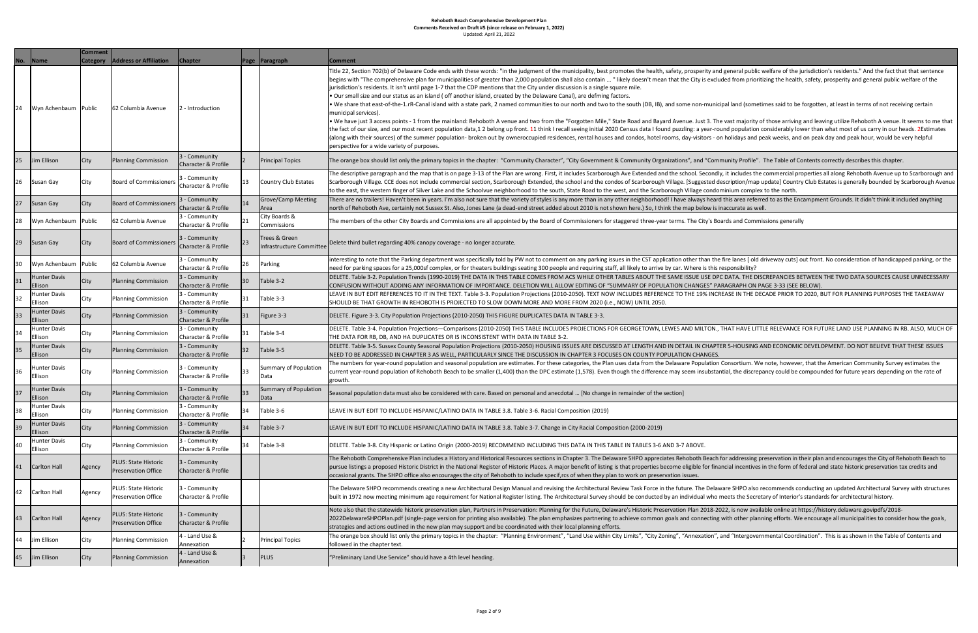| No. | <b>Name</b>                    | <b>Comment</b>  | <b>Address or Affiliation</b>                             |                                                 |                |                                           | <b>Comment</b>                                                                                                                                                                                                                                                                                                                                                                                                                                                                                                                                                                                                                                                                                       |
|-----|--------------------------------|-----------------|-----------------------------------------------------------|-------------------------------------------------|----------------|-------------------------------------------|------------------------------------------------------------------------------------------------------------------------------------------------------------------------------------------------------------------------------------------------------------------------------------------------------------------------------------------------------------------------------------------------------------------------------------------------------------------------------------------------------------------------------------------------------------------------------------------------------------------------------------------------------------------------------------------------------|
|     |                                | <b>Category</b> |                                                           | <b>Chapter</b>                                  | Page           | Paragraph                                 |                                                                                                                                                                                                                                                                                                                                                                                                                                                                                                                                                                                                                                                                                                      |
| 24  | Wyn Achenbaum                  | Public          | 62 Columbia Avenue                                        | 2 - Introduction                                |                |                                           | Title 22, Section 702(b) of Delaware Code ends with these words: "in the<br>begins with "The comprehensive plan for municipalities of greater than<br>jurisdiction's residents. It isn't until page 1-7 that the CDP mentions that<br>. Our small size and our status as an island (off another island, created<br>. We share that east-of-the-1.rR-Canal island with a state park, 2 named<br>municipal services).<br>. We have just 3 access points - 1 from the mainland: Rehoboth A venue<br>the fact of our size, and our most recent population data, 1 2 belong up f<br>(along with their sources) of the summer population- broken out by owr<br>perspective for a wide variety of purposes. |
| 25  | Jim Ellison                    | City            | <b>Planning Commission</b>                                | 3 - Community<br><b>Character &amp; Profile</b> | $\overline{2}$ | <b>Principal Topics</b>                   | The orange box should list only the primary topics in the chapter: "Com                                                                                                                                                                                                                                                                                                                                                                                                                                                                                                                                                                                                                              |
| 26  | Susan Gay                      | City            | <b>Board of Commissioners</b>                             | 3 - Community<br><b>Character &amp; Profile</b> | 13             | Country Club Estates                      | The descriptive paragraph and the map that is on page 3-13 of the Plan<br>Scarborough Village. CCE does not include commercial section, Scarbord<br>to the east, the western finger of Silver Lake and the Schoolvue neighbo                                                                                                                                                                                                                                                                                                                                                                                                                                                                         |
| 27  | Susan Gay                      | City            | <b>Board of Commissioners</b>                             | 3 - Community<br><b>Character &amp; Profile</b> | 14             | <b>Grove/Camp Meeting</b><br>Area         | There are no trailers! Haven't been in years. I'm also not sure that the va<br>north of Rehoboth Ave, certainly not Sussex St. Also, Jones Lane (a dead                                                                                                                                                                                                                                                                                                                                                                                                                                                                                                                                              |
| 28  | Wyn Achenbaum                  | Public          | 62 Columbia Avenue                                        | 3 - Community<br><b>Character &amp; Profile</b> | 21             | City Boards &<br>Commissions              | The members of the other City Boards and Commissions are all appointe                                                                                                                                                                                                                                                                                                                                                                                                                                                                                                                                                                                                                                |
| 29  | Susan Gay                      | City            | <b>Board of Commissioners</b>                             | 3 - Community<br><b>Character &amp; Profile</b> | 23             | Trees & Green<br>Infrastructure Committee | Delete third bullet regarding 40% canopy coverage - no longer accurate.                                                                                                                                                                                                                                                                                                                                                                                                                                                                                                                                                                                                                              |
| 30  | Wyn Achenbaum                  | Public          | 62 Columbia Avenue                                        | 3 - Community<br><b>Character &amp; Profile</b> | 26             | Parking                                   | interesting to note that the Parking department was specifically told by<br>need for parking spaces for a 25,000sf complex, or for theaters buildings                                                                                                                                                                                                                                                                                                                                                                                                                                                                                                                                                |
| 31  | <b>Hunter Davis</b><br>Ellison | City            | <b>Planning Commission</b>                                | 3 - Community<br><b>Character &amp; Profile</b> | 30             | Table 3-2                                 | DELETE. Table 3-2. Population Trends (1990-2019) THE DATA IN THIS TA<br>CONFUSION WITHOUT ADDING ANY INFORMATION OF IMPORTANCE. [                                                                                                                                                                                                                                                                                                                                                                                                                                                                                                                                                                    |
| 32  | Hunter Davis<br>Ellison        | City            | <b>Planning Commission</b>                                | 3 - Community<br>Character & Profile            | 31             | Table 3-3                                 | LEAVE IN BUT EDIT REFERENCES TO IT IN THE TEXT. Table 3-3. Populatic<br>SHOULD BE THAT GROWTH IN REHOBOTH IS PROJECTED TO SLOW DOV                                                                                                                                                                                                                                                                                                                                                                                                                                                                                                                                                                   |
| 33  | Hunter Davis<br>Ellison        | City            | Planning Commission                                       | 3 - Community<br><b>Character &amp; Profile</b> | 31             | Figure 3-3                                | DELETE. Figure 3-3. City Population Projections (2010-2050) THIS FIGUR                                                                                                                                                                                                                                                                                                                                                                                                                                                                                                                                                                                                                               |
| 34  | <b>Hunter Davis</b><br>Ellison | City            | <b>Planning Commission</b>                                | 3 - Community<br>Character & Profile            | 31             | Table 3-4                                 | DELETE. Table 3-4. Population Projections-Comparisons (2010-2050) T<br>THE DATA FOR RB, DB, AND HA DUPLICATES OR IS INCONSISTENT WITH                                                                                                                                                                                                                                                                                                                                                                                                                                                                                                                                                                |
| 35  | Hunter Davis<br>Ellison        | City            | <b>Planning Commission</b>                                | 3 - Community<br>Character & Profile            | 32             | Table 3-5                                 | DELETE. Table 3-5. Sussex County Seasonal Population Projections (2010<br>NEED TO BE ADDRESSED IN CHAPTER 3 AS WELL, PARTICULARLY SINCE                                                                                                                                                                                                                                                                                                                                                                                                                                                                                                                                                              |
| 36  | Hunter Davis<br>Ellison        | City            | <b>Planning Commission</b>                                | 3 - Community<br><b>Character &amp; Profile</b> | 33             | Summary of Population<br> Data            | The numbers for year-round population and seasonal population are est<br>current year-round population of Rehoboth Beach to be smaller (1,400)<br>growth.                                                                                                                                                                                                                                                                                                                                                                                                                                                                                                                                            |
| 37  | Hunter Davis<br>Ellison        | City            | <b>Planning Commission</b>                                | 3 - Community<br><b>Character &amp; Profile</b> | 33             | Summary of Population<br>Data             | Seasonal population data must also be considered with care. Based on p                                                                                                                                                                                                                                                                                                                                                                                                                                                                                                                                                                                                                               |
| 38  | <b>Hunter Davis</b><br>Ellison | <b>City</b>     | <b>Planning Commission</b>                                | 3 - Community<br>Character & Profile            | 34             | Table 3-6                                 | LEAVE IN BUT EDIT TO INCLUDE HISPANIC/LATINO DATA IN TABLE 3.8. 1                                                                                                                                                                                                                                                                                                                                                                                                                                                                                                                                                                                                                                    |
| 39  | Hunter Davis<br>Ellison        | City            | <b>Planning Commission</b>                                | 3 - Community<br><b>Character &amp; Profile</b> | 34             | Table 3-7                                 | LEAVE IN BUT EDIT TO INCLUDE HISPANIC/LATINO DATA IN TABLE 3.8. 1                                                                                                                                                                                                                                                                                                                                                                                                                                                                                                                                                                                                                                    |
| 40  | <b>Hunter Davis</b><br>Ellison | City            | <b>Planning Commission</b>                                | 3 - Community<br>Character & Profile            | 34             | Table 3-8                                 | DELETE. Table 3-8. City Hispanic or Latino Origin (2000-2019) RECOMMI                                                                                                                                                                                                                                                                                                                                                                                                                                                                                                                                                                                                                                |
| 41  | Carlton Hall                   | Agency          | <b>PLUS: State Historic</b><br><b>Preservation Office</b> | 3 - Community<br><b>Character &amp; Profile</b> |                |                                           | The Rehoboth Comprehensive Plan includes a History and Historical Res<br>pursue listings a proposed Historic District in the National Register of His<br>occasional grants. The SHPO office also encourages the city of Rehoboth                                                                                                                                                                                                                                                                                                                                                                                                                                                                     |
| 42  | Carlton Hall                   | Agency          | <b>PLUS: State Historic</b><br><b>Preservation Office</b> | 3 - Community<br><b>Character &amp; Profile</b> |                |                                           | The Delaware SHPO recommends creating a new Architectural Design M<br>built in 1972 now meeting minimum age requirement for National Regis                                                                                                                                                                                                                                                                                                                                                                                                                                                                                                                                                           |
| 43  | Carlton Hall                   | Agency          | <b>PLUS: State Historic</b><br><b>Preservation Office</b> | 3 - Community<br>Character & Profile            |                |                                           | Note also that the statewide historic preservation plan, Partners in Prese<br>2022DelawareSHPOPlan.pdf (single-page version for printing also availa<br>strategies and actions outlined in the new plan may support and be coor                                                                                                                                                                                                                                                                                                                                                                                                                                                                      |
| 44  | Jim Ellison                    | City            | <b>Planning Commission</b>                                | 4 - Land Use &<br>Annexation                    | $\overline{2}$ | <b>Principal Topics</b>                   | The orange box should list only the primary topics in the chapter: "Plan<br>followed in the chapter text.                                                                                                                                                                                                                                                                                                                                                                                                                                                                                                                                                                                            |
| 45  | Jim Ellison                    | City            | <b>Planning Commission</b>                                | 4 - Land Use &<br>Annexation                    | 3              | <b>PLUS</b>                               | "Preliminary Land Use Service" should have a 4th level heading.                                                                                                                                                                                                                                                                                                                                                                                                                                                                                                                                                                                                                                      |

e words: "in the judgment of the municipality, best promotes the health, safety, prosperity and general public welfare of the jurisdiction's residents." And the fact that that sentence greater than 2,000 population shall also contain ... " likely doesn't mean that the City is excluded from prioritizing the health, safety, prosperity and general public welfare of the mentions that the City under discussion is a single square mile.

sland, created by the Delaware Canal), are defming factors.

park, 2 named communities to our north and two to the south (DB, IB), and some non-municipal land (sometimes said to be forgotten, at least in terms of not receiving certain

oboth A venue and two from the "Forgotten Mile," State Road and Bayard Avenue. Just 3. The vast majority of those arriving and leaving utilize Rehoboth A venue. It seems to me that 12 belong up front. 11 think I recall seeing initial 2020 Census data I found puzzling: a year-round population considerably lower than what most of us carry in our heads. 2Estimates en out by owneroccupied residences, rental houses and condos, hotel rooms, day-visitors - on holidays and peak weeks, and on peak day and peak hour, would be very helpful

hapter: "Community Character", "City Government & Community Organizations", and "Community Profile". The Table of Contents correctly describes this chapter.

13 of the Plan are wrong. First, it includes Scarborough Ave Extended and the school. Secondly, it includes the commercial properties all along Rehoboth Avenue up to Scarborough and ction, Scarborough Extended, the school and the condos of Scarborough Village. [Suggested description/map update] Country Club Estates is generally bounded by Scarborough Avenue olvue neighborhood to the south, State Road to the west, and the Scarborough Village condominium complex to the north.

ure that the variety of styles is any more than in any other neighborhood! I have always heard this area referred to as the Encampment Grounds. It didn't think it included anything s Lane (a dead-end street added about 2010 is not shown here.) So, I think the map below is inaccurate as well.

are all appointed by the Board of Commissioners for staggered three-year terms. The City's Boards and Commissions generally

ifically told by PW not to comment on any parking issues in the CST application other than the fire lanes [old driveway cuts] out front. No consideration of handicapped parking, or the aters buildings seating 300 people and requiring staff, all likely to arrive by car. Where is this responsibility?

ATA IN THIS TABLE COMES FROM ACS WHILE OTHER TABLES ABOUT THE SAME ISSUE USE DPC DATA. THE DISCREPANCIES BETWEEN THE TWO DATA SOURCES CAUSE UNNECESSARY MPORTANCE. DELETION WILL ALLOW EDITING OF "SUMMARY OF POPULATION CHANGES" PARAGRAPH ON PAGE 3-33 (SEE BELOW).

3-3. Population Projections (2010-2050). TEXT NOW INCLUDES REFERENCE TO THE 19% INCREASE IN THE DECADE PRIOR TO 2020, BUT FOR PLANNING PURPOSES THE TAKEAWAY TO SLOW DOWN MORE AND MORE FROM 2020 (i.e., NOW) UNTIL 2050.

0) THIS FIGURE DUPLICATES DATA IN TABLE 3-3.

(2010-2050) THIS TABLE INCLUDES PROJECTIONS FOR GEORGETOWN, LEWES AND MILTON., THAT HAVE LITTLE RELEVANCE FOR FUTURE LAND USE PLANNING IN RB. ALSO, MUCH OF SISTENT WITH DATA IN TABLE 3-2.

iections (2010-2050) HOUSING ISSUES ARE DISCUSSED AT LENGTH AND IN DETAIL IN CHAPTER 5-HOUSING AND ECONOMIC DEVELOPMENT. DO NOT BELIEVE THAT THESE ISSUES JLARLY SINCE THE DISCUSSION IN CHAPTER 3 FOCUSES ON COUNTY POPULATION CHANGES.

ulation are estimates. For these categories, the Plan uses data from the Delaware Population Consortium. We note, however, that the American Community Survey estimates the maller (1,400) than the DPC estimate (1,578). Even though the difference may seem insubstantial, the discrepancy could be compounded for future years depending on the rate of

are. Based on personal and anecdotal ... [No change in remainder of the section]

IN TABLE 3.8. Table 3-6. Racial Composition (2019)

N TABLE 3.8. Table 3-7. Change in City Racial Composition (2000-2019)

19) RECOMMEND INCLUDING THIS DATA IN THIS TABLE IN TABLES 3-6 AND 3-7 ABOVE.

Historical Resources sections in Chapter 3. The Delaware SHPO appreciates Rehoboth Beach for addressing preservation in their plan and encourages the City of Rehoboth Beach to Register of Historic Places. A major benefit of listing is that properties become eligible for financial incentives in the form of federal and state historic preservation tax credits and y of Rehoboth to include specif,rcs of when they plan to work on preservation issues.

ctural Design Manual and revising the Architectural Review Task Force in the future. The Delaware SHPO also recommends conducting an updated Architectural Survey with structures National Register listing. The Architectural Survey should be conducted by an individual who meets the Secretary of Interior's standards for architectural history.

artners in Preservation: Planning for the Future, Delaware's Historic Preservation Plan 2018-2022, is now available online at https://history.delaware.govipdfs/2018ting also available). The plan emphasizes partnering to achieve common goals and connecting with other planning efforts. We encourage all municipalities to consider how the goals, ort and be coordinated with their local planning efforts.

hapter: "Planning Environment", "Land Use within City Limits", "City Zoning", "Annexation", and "Intergovernmental Coordination". This is as shown in the Table of Contents and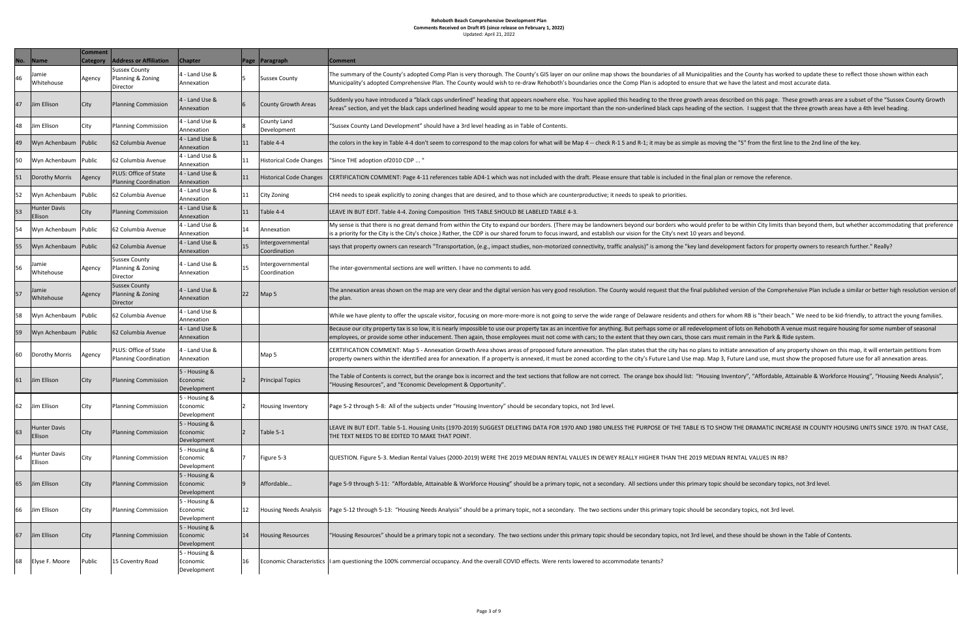| No. | <b>Name</b>                    | <b>Comment</b><br><b>Category</b> | <b>Address or Affiliation</b>                                | <b>Chapter</b>                           |    | Page Paragraph                    | <b>Comment</b>                                                                                                                                                       |
|-----|--------------------------------|-----------------------------------|--------------------------------------------------------------|------------------------------------------|----|-----------------------------------|----------------------------------------------------------------------------------------------------------------------------------------------------------------------|
| 46  | Jamie<br>Whitehouse            | Agency                            | <b>Sussex County</b><br>Planning & Zoning<br>Director        | 4 - Land Use &<br>Annexation             |    | <b>Sussex County</b>              | The summary of the County's adopted Comp Plan is very thorough. The Count<br>Municipality's adopted Comprehensive Plan. The County would wish to re-dra              |
| 47  | Jim Ellison                    | City                              | <b>Planning Commission</b>                                   | $ 4 -$ Land Use &<br>Annexation          | 6  | County Growth Areas               | Suddenly you have introduced a "black caps underlined" heading that appears<br>Areas" section, and yet the black caps underlined heading would appear to me          |
| 48  | Jim Ellison                    | City                              | <b>Planning Commission</b>                                   | 4 - Land Use &<br>Annexation             |    | County Land<br>Development        | 'Sussex County Land Development" should have a 3rd level heading as in Tabl                                                                                          |
| 49  | Wyn Achenbaum                  | Public                            | 62 Columbia Avenue                                           | $ 4 -$ Land Use &<br>Annexation          | 11 | Table 4-4                         | the colors in the key in Table 4-4 don't seem to correspond to the map colors i                                                                                      |
| 50  | Wyn Achenbaum                  | Public                            | 62 Columbia Avenue                                           | 4 - Land Use &<br>Annexation             | 11 | <b>Historical Code Changes</b>    | "Since THE adoption of 2010 CDP  "                                                                                                                                   |
| 51  | Dorothy Morris                 | Agency                            | <b>PLUS: Office of State</b><br><b>Planning Coordination</b> | 4 - Land Use &<br>Annexation             | 11 | Historical Code Changes           | CERTIFICATION COMMENT: Page 4-11 references table AD4-1 which was not i                                                                                              |
| 52  | Wyn Achenbaum                  | Public                            | 62 Columbia Avenue                                           | 4 - Land Use &<br>Annexation             | 11 | <b>City Zoning</b>                | CH4 needs to speak explicitly to zoning changes that are desired, and to those                                                                                       |
| 53  | <b>Hunter Davis</b><br>Ellison | City                              | <b>Planning Commission</b>                                   | 4 - Land Use &<br>Annexation             | 11 | Table 4-4                         | LEAVE IN BUT EDIT. Table 4-4. Zoning Composition THIS TABLE SHOULD BE LA                                                                                             |
| 54  | Wyn Achenbaum                  | Public                            | 62 Columbia Avenue                                           | 4 - Land Use &<br>Annexation             | 14 | Annexation                        | My sense is that there is no great demand from within the City to expand our<br>is a priority for the City is the City's choice.) Rather, the CDP is our shared foru |
| 55  | Wyn Achenbaum                  | Public                            | 62 Columbia Avenue                                           | 4 - Land Use &<br>Annexation             | 15 | Intergovernmental<br>Coordination | says that property owners can research "Transportation, (e.g., impact studies,                                                                                       |
| 56  | Jamie<br>Whitehouse            | Agency                            | <b>Sussex County</b><br>Planning & Zoning<br>Director        | 4 - Land Use &<br>Annexation             | 15 | Intergovernmental<br>Coordination | The inter-governmental sections are well written. I have no comments to add.                                                                                         |
| 57  | Jamie<br>Whitehouse            | Agency                            | <b>Sussex County</b><br>Planning & Zoning<br>Director        | $4 -$ Land Use &<br>Annexation           | 22 | Map 5                             | The annexation areas shown on the map are very clear and the digital version<br>the plan.                                                                            |
| 58  | Wyn Achenbaum                  | Public                            | 62 Columbia Avenue                                           | 4 - Land Use &<br>Annexation             |    |                                   | While we have plenty to offer the upscale visitor, focusing on more-more-mor                                                                                         |
| 59  | Wyn Achenbaum   Public         |                                   | 62 Columbia Avenue                                           | $ 4 -$ Land Use &<br>Annexation          |    |                                   | Because our city property tax is so low, it is nearly impossible to use our prope<br>employees, or provide some other inducement. Then again, those employees        |
| 60  | Dorothy Morris                 | Agency                            | <b>PLUS: Office of State</b><br><b>Planning Coordination</b> | 4 - Land Use &<br>Annexation             |    | Map 5                             | CERTIFICATION COMMENT: Map 5 - Annexation Growth Area shows areas of<br>property owners within the identified area for annexation. If a property is ann              |
| 61  | Jim Ellison                    | City                              | <b>Planning Commission</b>                                   | 5 - Housing &<br>Economic<br>Development |    | <b>Principal Topics</b>           | The Table of Contents is correct, but the orange box is incorrect and the text s<br>'Housing Resources", and "Economic Development & Opportunity".                   |
| 62  | Jim Ellison                    | City                              | <b>Planning Commission</b>                                   | 5 - Housing &<br>Economic<br>Development | 2  | <b>Housing Inventory</b>          | Page 5-2 through 5-8: All of the subjects under "Housing Inventory" should be                                                                                        |
| 63  | <b>Hunter Davis</b><br>Ellison | City                              | <b>Planning Commission</b>                                   | 5 - Housing &<br>Economic<br>Development |    | Table 5-1                         | LEAVE IN BUT EDIT. Table 5-1. Housing Units (1970-2019) SUGGEST DELETING<br>THE TEXT NEEDS TO BE EDITED TO MAKE THAT POINT.                                          |
| 64  | <b>Hunter Davis</b><br>Ellison | City                              | <b>Planning Commission</b>                                   | 5 - Housing &<br>Economic<br>Development |    | Figure 5-3                        | QUESTION. Figure 5-3. Median Rental Values (2000-2019) WERE THE 2019 MI                                                                                              |
| 65  | Jim Ellison                    | City                              | <b>Planning Commission</b>                                   | 5 - Housing &<br>Economic<br>Development |    | Affordable                        | Page 5-9 through 5-11: "Affordable, Attainable & Workforce Housing" should                                                                                           |
| 66  | Jim Ellison                    | City                              | <b>Planning Commission</b>                                   | 5 - Housing &<br>Economic<br>Development | 12 | <b>Housing Needs Analysis</b>     | Page 5-12 through 5-13: "Housing Needs Analysis" should be a primary topic,                                                                                          |
| 67  | Jim Ellison                    | City                              | <b>Planning Commission</b>                                   | 5 - Housing &<br>Economic<br>Development | 14 | <b>Housing Resources</b>          | "Housing Resources" should be a primary topic not a secondary. The two sect                                                                                          |
| 68  | Elyse F. Moore                 | Public                            | 15 Coventry Road                                             | 5 - Housing &<br>Economic<br>Development | 16 |                                   | Economic Characteristics   am questioning the 100% commercial occupancy. And the overall COVID effer                                                                 |

horough. The County's GIS layer on our online map shows the boundaries of all Municipalities and the County has worked to update these to reflect those shown within each ould wish to re-draw Rehoboth's boundaries once the Comp Plan is adopted to ensure that we have the latest and most accurate data.

eading that appears nowhere else. You have applied this heading to the three growth areas described on this page. These growth areas are a subset of the "Sussex County Growth would appear to me to be more important than the non-underlined black caps heading of the section. I suggest that the three growth areas have a 4th level heading.

el heading as in Table of Contents.

to the map colors for what will be Map 4 -- check R-1 S and R-1; it may be as simple as moving the "S" from the first line to the 2nd line of the key.

4-1 which was not included with the draft. Please ensure that table is included in the final plan or remove the reference.

Isired, and to those which are counterproductive; it needs to speak to priorities.

12 Table Should be Labeled Table 4-3.

City to expand our borders. (There may be landowners beyond our borders who would prefer to be within City limits than beyond them, but whether accommodating that preference P is our shared forum to focus inward, and establish our vision for the City's next 10 years and beyond.

.g., impact studies, non-motorized connectivity, traffic analysis)" is among the "key land development factors for property owners to research further." Really?

I the digital version has very good resolution. The County would request that the final published version of the Comprehensive Plan include a similar or better high resolution version of

on more-more-more is not going to serve the wide range of Delaware residents and others for whom RB is "their beach." We need to be kid-friendly, to attract the young families.

lle to use our property tax as an incentive for anything. But perhaps some or all redevelopment of lots on Rehoboth A venue must require housing for some number of seasonal n, those employees must not come with cars; to the extent that they own cars, those cars must remain in the Park & Ride system.

4 - Land Use & Map 5 (CERTIFICATION COMMENT: Map 5 - Annexation Growth Area shows areas of proposed future annexation. The plan states that the city has no plans to initiate annexation of any property shown on this map, it

rrect and the text sections that follow are not correct. The orange box should list: "Housing Inventory", "Affordable, Attainable & Workforce Housing", "Housing Needs Analysis", ortunity".

nventory" should be secondary topics, not 3rd level.

UGGEST DELETING DATA FOR 1970 AND 1980 UNLESS THE PURPOSE OF THE TABLE IS TO SHOW THE DRAMATIC INCREASE IN COUNTY HOUSING UNITS SINCE 1970. IN THAT CASE,

WERE THE 2019 MEDIAN RENTAL VALUES IN DEWEY REALLY HIGHER THAN THE 2019 MEDIAN RENTAL VALUES IN RB?

ce Housing" should be a primary topic, not a secondary. All sections under this primary topic should be secondary topics, not 3rd level.

be a primary topic, not a secondary. The two sections under this primary topic should be secondary topics, not 3rd level.

dary. The two sections under this primary topic should be secondary topics, not 3rd level, and these should be shown in the Table of Contents.

I overall COVID effects. Were rents lowered to accommodate tenants?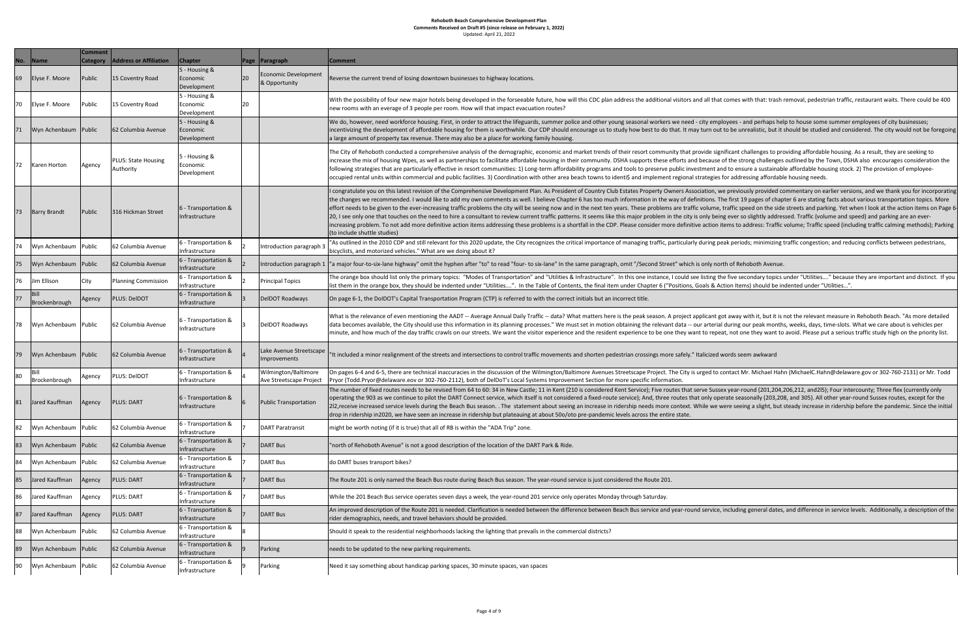| No. | Name                  | <b>Comment</b><br><b>Category</b> | <b>Address or Affiliation</b>           | <b>Chapter</b>                             | Page            | Paragraph                                       | <b>Comment</b>                                                                                                                                                                                                                                                                                                                                                                                                                                                                       |
|-----|-----------------------|-----------------------------------|-----------------------------------------|--------------------------------------------|-----------------|-------------------------------------------------|--------------------------------------------------------------------------------------------------------------------------------------------------------------------------------------------------------------------------------------------------------------------------------------------------------------------------------------------------------------------------------------------------------------------------------------------------------------------------------------|
| 69  | Elyse F. Moore        | Public                            | 15 Coventry Road                        | 5 - Housing &<br>Economic<br>Development   | 20              | Economic Development<br>& Opportunity           | Reverse the current trend of losing downtown businesses to highway locations.                                                                                                                                                                                                                                                                                                                                                                                                        |
| 70  | Elyse F. Moore        | Public                            | 15 Coventry Road                        | $5 -$ Housing &<br>Economic<br>Development | 20              |                                                 | With the possibility of four new major hotels being developed in the forseeable futu<br>new rooms with an everage of 3 people per room. How will that impact evacuation i                                                                                                                                                                                                                                                                                                            |
| 71  | Wyn Achenbaum Public  |                                   | 62 Columbia Avenue                      | 5 - Housing &<br>Economic<br>Development   |                 |                                                 | We do, however, need workforce housing. First, in order to attract the lifeguards, su<br>incentivizing the development of affordable housing for them is worthwhile. Our CD<br>a large amount of property tax revenue. There may also be a place for working famil                                                                                                                                                                                                                   |
| 72  | Karen Horton          | Agency                            | <b>PLUS: State Housing</b><br>Authority | 5 - Housing &<br>Economic<br>Development   |                 |                                                 | The City of Rehoboth conducted a comprehensive analysis of the demographic, ecor<br>increase the mix of housing Wpes, as well as partnerships to facilitate affordable hou<br>following strategies that are particularly effective in resort communities: 1) Long-ter<br>occupied rental units within commercial and public facilities. 3) Coordination with ot                                                                                                                      |
| 73  | <b>Barry Brandt</b>   | Public                            | 316 Hickman Street                      | 6 - Transportation &<br>Infrastructure     |                 |                                                 | I congratulate you on this latest revision of the Comprehensive Development Plan. A<br>the changes we recommended. I would like to add my own comments as well. I belig<br>effort needs to be given to the ever-increasing traffic problems the city will be seeing<br>20, I see only one that touches on the need to hire a consultant to review current tra<br>increasing problem. To not add more definitive action items addressing these proble<br>(to include shuttle studies) |
| 74  | Wyn Achenbaum         | Public                            | 62 Columbia Avenue                      | 6 - Transportation &<br>Infrastructure     |                 | Introduction paragraph 3                        | 'As outlined in the 2010 CDP and still relevant for this 2020 update, the City recogni:<br>bicyclists, and motorized vehicles." What are we doing about it?                                                                                                                                                                                                                                                                                                                          |
| 75  | Wyn Achenbaum Public  |                                   | 62 Columbia Avenue                      | 6 - Transportation &<br>Infrastructure     |                 | Introduction paragraph 1                        | "a major four-to-six-lane highway" omit the hyphen after "to" to read "four- to six-la                                                                                                                                                                                                                                                                                                                                                                                               |
| 76  | Jim Ellison           | City                              | Planning Commission                     | 6 - Transportation &<br>Infrastructure     |                 | <b>Principal Topics</b>                         | The orange box should list only the primary topics: "Modes of Transportation" and '<br>list them in the orange box, they should be indented under "Utilities". In the Table                                                                                                                                                                                                                                                                                                          |
| 77  | Bill<br>Brockenbrough | Agency                            | <b>PLUS: DeIDOT</b>                     | 6 - Transportation &<br>Infrastructure     |                 | DelDOT Roadways                                 | On page 6-1, the DoIDOT's Capital Transportation Program (CTP) is referred to with t                                                                                                                                                                                                                                                                                                                                                                                                 |
| 78  | Wyn Achenbaum Public  |                                   | 62 Columbia Avenue                      | 6 - Transportation &<br>Infrastructure     | 13              | DelDOT Roadways                                 | What is the relevance of even mentioning the AADT -- Average Annual Daily Traffic -<br>data becomes available, the City should use this information in its planning processe<br>minute, and how much of the day traffic crawls on our streets. We want the visitor $\epsilon$                                                                                                                                                                                                        |
| 79  | Wyn Achenbaum Public  |                                   | 62 Columbia Avenue                      | 6 - Transportation &<br>Infrastructure     | 14              | Lake Avenue Streetscape<br>Improvements         | 'It included a minor realignment of the streets and intersections to control traffic me                                                                                                                                                                                                                                                                                                                                                                                              |
| 80  | Bill<br>Brockenbrough | Agency                            | PLUS: DelDOT                            | 6 - Transportation &<br>Infrastructure     | 4               | Wilmington/Baltimore<br>Ave Streetscape Project | On pages 6-4 and 6-5, there are technical inaccuracies in the discussion of the Wilmi<br>Pryor (Todd.Pryor@delaware.eov or 302-760-2112), both of DelDoT's Local Systems                                                                                                                                                                                                                                                                                                             |
| 81  | Jared Kauffman        | Agency                            | <b>PLUS: DART</b>                       | 6 - Transportation &<br>Infrastructure     | 16              | <b>Public Transportation</b>                    | The number of fixed routes needs to be revised from 64 to 60: 34 in New Castle; 11<br>operating the 903 as we continue to pilot the DART Connect service, which itself is n<br>2l2, receive increased service levels during the Beach Bus season. . The statement ab<br>drop in ridership in2020, we have seen an increase in ridership but plateauing at abc                                                                                                                        |
| 82  | Wyn Achenbaum         | Public                            | 62 Columbia Avenue                      | 6 - Transportation &<br>Infrastructure     |                 | DART Paratransit                                | might be worth noting (if it is true) that all of RB is within the "ADA Trip" zone.                                                                                                                                                                                                                                                                                                                                                                                                  |
| 83  | Wyn Achenbaum         | Public                            | 62 Columbia Avenue                      | 6 - Transportation &<br>Infrastructure     |                 | <b>DART Bus</b>                                 | 'north of Rehoboth Avenue" is not a good description of the location of the DART Pa                                                                                                                                                                                                                                                                                                                                                                                                  |
| 84  | Wyn Achenbaum         | Public                            | 62 Columbia Avenue                      | 6 - Transportation &<br>Infrastructure     |                 | <b>DART Bus</b>                                 | do DART buses transport bikes?                                                                                                                                                                                                                                                                                                                                                                                                                                                       |
| 85  | Jared Kauffman        | Agency                            | <b>PLUS: DART</b>                       | 6 - Transportation &<br>Infrastructure     |                 | <b>DART Bus</b>                                 | The Route 201 is only named the Beach Bus route during Beach Bus season. The yea                                                                                                                                                                                                                                                                                                                                                                                                     |
| 86  | Jared Kauffman        | Agency                            | <b>PLUS: DART</b>                       | 6 - Transportation &<br>Infrastructure     |                 | <b>DART Bus</b>                                 | While the 201 Beach Bus service operates seven days a week, the year-round 201 se                                                                                                                                                                                                                                                                                                                                                                                                    |
| 87  | Jared Kauffman        | Agency                            | <b>PLUS: DART</b>                       | 6 - Transportation &<br>Infrastructure     |                 | <b>DART Bus</b>                                 | An improved description of the Route 201 is needed. Clarification is needed betweer<br>rider demographics, needs, and travel behaviors should be provided.                                                                                                                                                                                                                                                                                                                           |
| 88  | Wyn Achenbaum Public  |                                   | 62 Columbia Avenue                      | 6 - Transportation &<br>Infrastructure     | 8               |                                                 | Should it speak to the residential neighborhoods lacking the lighting that prevails in t                                                                                                                                                                                                                                                                                                                                                                                             |
| 89  | Wyn Achenbaum Public  |                                   | 62 Columbia Avenue                      | 6 - Transportation &<br>Infrastructure     | $\vert 9 \vert$ | Parking                                         | needs to be updated to the new parking requirements.                                                                                                                                                                                                                                                                                                                                                                                                                                 |
| 90  | Wyn Achenbaum Public  |                                   | 62 Columbia Avenue                      | 6 - Transportation &<br>Infrastructure     | 9               | Parking                                         | Need it say something about handicap parking spaces, 30 minute spaces, van spaces                                                                                                                                                                                                                                                                                                                                                                                                    |

ped in the forseeable future, how will this CDC plan address the additional visitors and all that comes with that: trash removal, pedestrian traffic, restaurant waits. There could be 400 ill that impact evacuation routes?

o attract the lifeguards, summer police and other young seasonal workers we need - city employees - and perhaps help to house some summer employees of city businesses; em is worthwhile. Our CDP should encourage us to study how best to do that. It may turn out to be unrealistic, but it should be studied and considered. The city would not be foregoing  $\alpha$  a place for working family housing.

s of the demographic, economic and market trends of their resort community that provide significant challenges to providing affordable housing. As a result, they are seeking to to facilitate affordable housing in their community. DSHA supports these efforts and because of the strong challenges outlined by the Town, DSHA also encourages consideration the communities: 1) Long-term affordability programs and tools to preserve public investment and to ensure a sustainable affordable housing stock. 2) The provision of employeees. 3) Coordination with other area beach towns to identi\$ and implement regional strategies for addressing affordable housing needs.

isive Development Plan. As President of Country Club Estates Property Owners Association, we previously provided commentary on earlier versions, and we thank you for incorporating n comments as well. I believe Chapter 6 has too much information in the way of definitions. The first 19 pages of chapter 6 are stating facts about various transportation topics. More ems the city will be seeing now and in the next ten years. These problems are traffic volume, traffic speed on the side streets and parking. Yet when I look at the action items on Page 6-Itant to review current traffic patterns. It seems like this major problem in the city is only being ever so slightly addressed. Traffic (volume and speed) and parking are an evers addressing these problems is a shortfall in the CDP. Please consider more definitive action items to address: Traffic volume; Traffic speed (including traffic calming methods); Parking

0 update, the City recognizes the critical importance of managing traffic, particularly during peak periods; minimizing traffic congestion; and reducing conflicts between pedestrians,<br>out it?

to" to read "four- to six-lane" In the same paragraph, omit "/Second Street" which is only north of Rehoboth Avenue.

es of Transportation" and "Utilities & Infrastructure". In this one instance, I could see listing the five secondary topics under "Utilities...." because they are important and distinct. If you "Utilities....". In the Table of Contents, the final item under Chapter 6 ("Positions, Goals & Action Items) should be indented under "Utilities...".

(CTP) is referred to with the correct initials but an incorrect title.

rage Annual Daily Traffic -- data? What matters here is the peak season. A project applicant got away with it, but it is not the relevant measure in Rehoboth Beach. "As more detailed on in its planning processes." We must set in motion obtaining the relevant data -- our arterial during our peak months, weeks, days, time-slots. What we care about is vehicles per ets. We want the visitor experience and the resident experience to be one they want to repeat, not one they want to avoid. Please put a serious traffic study high on the priority list.

ctions to control traffic movements and shorten pedestrian crossings more safely." Italicized words seem awkward

he discussion of the Wilmington/Baltimore Avenues Streetscape Project. The City is urged to contact Mr. Michael Hahn (MichaelC.Hahn@delaware.gov or 302-760-2131) or Mr. Todd of DelDoT's Local Systems Improvement Section for more specific information.

60: 34 in New Castle; 11 in Kent (210 is considered Kent Service); Five routes that serve Sussex year-round (201,204,206,212, and2l5); Four intercounty; Three flex (currently only ct service, which itself is not considered a fixed-route service); And, three routes that only operate seasonally (203,208, and 305). All other year-round Sussex routes, except for the eason.. The statement about seeing an increase in ridership needs more context. While we were seeing a slight, but steady increase in ridership before the pandemic. Since the initial ship but plateauing at about 50o/oto pre-pandemic levels across the entire state.

Ie location of the DART Park & Ride.

each Bus season. The year-round service is just considered the Route 201.

eek, the year-round 201 service only operates Monday through Saturday.

ication is needed between the difference between Beach Bus service and year-round service, including general dates, and difference in service levels. Additionally, a description of the provided.

ne lighting that prevails in the commercial districts?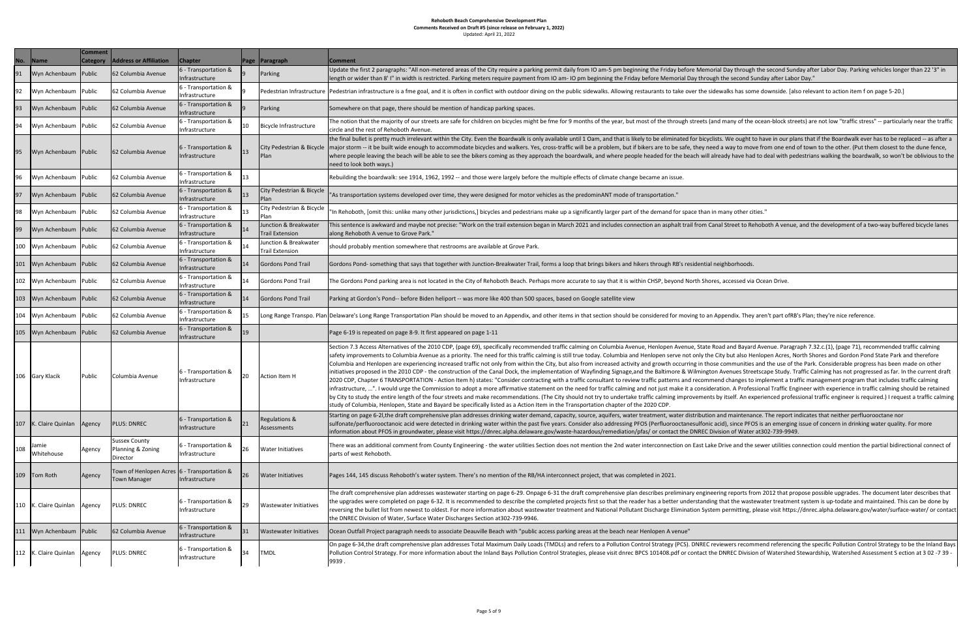| No. | <b>Name</b>             | <b>Comment</b><br><b>Category</b> | <b>Address or Affiliation</b>                                      | <b>Chapter</b>                           |    | Page   Paragraph                                | Comment                                                                                                                                                                                                                                                                                                                                                                                                                                                                                                                                                                                                                                                                          |
|-----|-------------------------|-----------------------------------|--------------------------------------------------------------------|------------------------------------------|----|-------------------------------------------------|----------------------------------------------------------------------------------------------------------------------------------------------------------------------------------------------------------------------------------------------------------------------------------------------------------------------------------------------------------------------------------------------------------------------------------------------------------------------------------------------------------------------------------------------------------------------------------------------------------------------------------------------------------------------------------|
| 91  | Wyn Achenbaum Public    |                                   | 62 Columbia Avenue                                                 | 6 - Transportation &<br>Infrastructure   |    | Parking                                         | Update the first 2 paragraphs: "All non-metered areas of the City require a park<br>length or wider than 8' I" in width is restricted. Parking meters require payment                                                                                                                                                                                                                                                                                                                                                                                                                                                                                                            |
| 92  | Wyn Achenbaum           | Public                            | 62 Columbia Avenue                                                 | 6 - Transportation &<br>Infrastructure   |    |                                                 | Pedestrian Infrastructure  Pedestrian infrastructure is a fme goal, and it is often in conflict with outdoor di                                                                                                                                                                                                                                                                                                                                                                                                                                                                                                                                                                  |
| 93  | Wyn Achenbaum Public    |                                   | 62 Columbia Avenue                                                 | 6 - Transportation &<br>Infrastructure   |    | <b>Parking</b>                                  | Somewhere on that page, there should be mention of handicap parking spaces.                                                                                                                                                                                                                                                                                                                                                                                                                                                                                                                                                                                                      |
| 94  | Wyn Achenbaum Public    |                                   | 62 Columbia Avenue                                                 | 6 - Transportation &<br>Infrastructure   | 10 | Bicycle Infrastructure                          | The notion that the majority of our streets are safe for children on bicycles migl<br>circle and the rest of Rehoboth Avenue.                                                                                                                                                                                                                                                                                                                                                                                                                                                                                                                                                    |
| 95  | Wyn Achenbaum Public    |                                   | 62 Columbia Avenue                                                 | 6 - Transportation &<br>Infrastructure   | 13 | City Pedestrian & Bicycle<br> Plan              | the final bullet is pretty much irrelevant within the City. Even the Boardwalk is o<br>major storm -- it be built wide enough to accommodate bicycles and walkers. Y<br>where people leaving the beach will be able to see the bikers coming as they ap<br>need to look both ways.)                                                                                                                                                                                                                                                                                                                                                                                              |
| 196 | Wyn Achenbaum Public    |                                   | 62 Columbia Avenue                                                 | 6 - Transportation &<br>Infrastructure   | 13 |                                                 | Rebuilding the boardwalk: see 1914, 1962, 1992 -- and those were largely befor                                                                                                                                                                                                                                                                                                                                                                                                                                                                                                                                                                                                   |
| 97  | Wyn Achenbaum           | Public                            | 62 Columbia Avenue                                                 | 6 - Transportation &<br>Infrastructure   | 13 | City Pedestrian & Bicycle<br>Plan               | 'As transportation systems developed over time, they were designed for motor                                                                                                                                                                                                                                                                                                                                                                                                                                                                                                                                                                                                     |
| 98  | Wyn Achenbaum Public    |                                   | 62 Columbia Avenue                                                 | 6 - Transportation &<br>Infrastructure   | 13 | City Pedestrian & Bicycle<br> Plan              | 'In Rehoboth, [omit this: unlike many other jurisdictions,] bicycles and pedestri                                                                                                                                                                                                                                                                                                                                                                                                                                                                                                                                                                                                |
| 99  | Wyn Achenbaum           | Public                            | 62 Columbia Avenue                                                 | 6 - Transportation &<br>Infrastructure   | 14 | Junction & Breakwater<br><b>Trail Extension</b> | This sentence is awkward and maybe not precise: "Work on the trail extension  <br>along Rehoboth A venue to Grove Park."                                                                                                                                                                                                                                                                                                                                                                                                                                                                                                                                                         |
| 100 | Wyn Achenbaum Public    |                                   | 62 Columbia Avenue                                                 | 6 - Transportation &<br>Infrastructure   | 14 | Junction & Breakwater<br><b>Trail Extension</b> | should probably mention somewhere that restrooms are available at Grove Par                                                                                                                                                                                                                                                                                                                                                                                                                                                                                                                                                                                                      |
| 101 | Wyn Achenbaum Public    |                                   | 62 Columbia Avenue                                                 | 6 - Transportation &<br>Infrastructure   | 14 | <b>Gordons Pond Trail</b>                       | Gordons Pond-something that says that together with Junction-Breakwater Tra                                                                                                                                                                                                                                                                                                                                                                                                                                                                                                                                                                                                      |
| 102 | Wyn Achenbaum Public    |                                   | 62 Columbia Avenue                                                 | 6 - Transportation &<br>Infrastructure   | 14 | Gordons Pond Trail                              | The Gordons Pond parking area is not located in the City of Rehoboth Beach. Pe                                                                                                                                                                                                                                                                                                                                                                                                                                                                                                                                                                                                   |
| 103 | Wyn Achenbaum Public    |                                   | 62 Columbia Avenue                                                 | 6 - Transportation &<br>Infrastructure   | 14 | Gordons Pond Trail                              | Parking at Gordon's Pond-- before Biden heliport -- was more like 400 than 500                                                                                                                                                                                                                                                                                                                                                                                                                                                                                                                                                                                                   |
| 104 | Wyn Achenbaum Public    |                                   | 62 Columbia Avenue                                                 | 6 - Transportation &<br>Infrastructure   | 15 |                                                 | Long Range Transpo. Plan Delaware's Long Range Transportation Plan should be moved to an Appendix, a                                                                                                                                                                                                                                                                                                                                                                                                                                                                                                                                                                             |
| 105 | Wyn Achenbaum Public    |                                   | 62 Columbia Avenue                                                 | 6 - Transportation &<br>Infrastructure   | 19 |                                                 | Page 6-19 is repeated on page 8-9. It first appeared on page 1-11                                                                                                                                                                                                                                                                                                                                                                                                                                                                                                                                                                                                                |
| 106 | Gary Klacik             | Public                            | Columbia Avenue                                                    | 6 - Transportation &<br>Infrastructure   | 20 | Action Item H                                   | Section 7.3 Access Alternatives of the 2010 CDP, (page 69), specifically recomm<br>safety improvements to Columbia Avenue as a priority. The need for this traffic<br>Columbia and Henlopen are experiencing increased traffic not only from within<br>linitiatives proposed in the 2010 CDP - the construction of the Canal Dock, the ir<br>2020 CDP, Chapter 6 TRANSPORTATION - Action Item h) states: "Consider contr<br>Infrastructure, ". I would urge the Commission to adopt a more affirmative sta<br>by City to study the entire length of the four streets and make recommendatior<br>study of Columbia, Henlopen, State and Bayard be specifically listed as a Action |
| 107 | K. Claire Quinlan       | Agency                            | <b>PLUS: DNREC</b>                                                 | 6 - Transportation &<br>Infrastructure   | 21 | Regulations &<br>Assessments                    | Starting on page 6-2I, the draft comprehensive plan addresses drinking water de<br>sulfonate/perfluorooctanoic acid were detected in drinking water within the pa<br>information about PFOS in groundwater, please visit https://dnrec.alpha.delaw                                                                                                                                                                                                                                                                                                                                                                                                                               |
| 108 | Jamie<br>Whitehouse     | Agency                            | <b>Sussex County</b><br>Planning & Zoning<br>Director              | 6 - Transportation &<br>Infrastructure   | 26 | <b>Water Initiatives</b>                        | There was an additional comment from County Engineering - the water utilities<br>parts of west Rehoboth.                                                                                                                                                                                                                                                                                                                                                                                                                                                                                                                                                                         |
| 109 | Tom Roth                | Agency                            | Town of Henlopen Acres 6 - Transportation &<br><b>Town Manager</b> | Infrastructure                           | 26 | <b>Water Initiatives</b>                        | Pages 144, 145 discuss Rehoboth's water system. There's no mention of the RB                                                                                                                                                                                                                                                                                                                                                                                                                                                                                                                                                                                                     |
| 110 | K. Claire Quinlan       | Agency                            | <b>PLUS: DNREC</b>                                                 | 6 - Transportation &<br>Infrastructure   | 29 | <b>Wastewater Initiatives</b>                   | The draft comprehensive plan addresses wastewater starting on page 6-29. On<br>the upgrades were completed on page 6-32. It is recommended to describe the<br>reversing the bullet list from newest to oldest. For more information about was<br>the DNREC Division of Water, Surface Water Discharges Section at302-739-994                                                                                                                                                                                                                                                                                                                                                     |
| 111 | Wyn Achenbaum Public    |                                   | 62 Columbia Avenue                                                 | 6 - Transportation &<br>Infrastructure   | 31 | <b>Wastewater Initiatives</b>                   | Ocean Outfall Project paragraph needs to associate Deauville Beach with "publi                                                                                                                                                                                                                                                                                                                                                                                                                                                                                                                                                                                                   |
|     | 112   K. Claire Quinlan | Agency                            | <b>PLUS: DNREC</b>                                                 | $6$ - Transportation &<br>Infrastructure | 34 | <b>TMDL</b>                                     | On page 6-34, the draft comprehensive plan addresses Total Maximum Daily Lo<br>Pollution Control Strategy. For more information about the Inland Bays Pollutio<br> 9939 .                                                                                                                                                                                                                                                                                                                                                                                                                                                                                                        |

ne City require a parking permit daily from IO am-5 pm beginning the Friday before Memorial Day through the second Sunday after Labor Day. Parking vehicles longer than 22 '3" in ters require payment from IO am- IO pm beginning the Friday before Memorial Day through the second Sunday after Labor Day."

onflict with outdoor dining on the public sidewalks. Allowing restaurants to take over the sidewalks has some downside. [also relevant to action item f on page 5-20.]

ildren on bicycles might be fme for 9 months of the year, but most of the through streets (and many of the ocean-block streets) are not low "traffic stress" -- particularly near the traffic

en the Boardwalk is only available until 1 Oam, and that is likely to be eliminated for bicyclists. We ought to have in our plans that if the Boardwalk ever has to be replaced -- as after a cycles and walkers. Yes, cross-traffic will be a problem, but if bikers are to be safe, they need a way to move from one end of town to the other. (Put them closest to the dune fence, ers coming as they approach the boardwalk, and where people headed for the beach will already have had to deal with pedestrians walking the boardwalk, so won't be oblivious to the

Infrastructure 13 Repuilding the see 13 Repuilding the boardwalk: see 1918, 1918, 1992, 1992, 1992, 1992, 1992

e designed for motor vehicles as the predominANT mode of transportation."

bicycles and pedestrians make up a significantly larger part of the demand for space than in many other cities."

n the trail extension began in March 2021 and includes connection an asphalt trail from Canal Street to Rehoboth A venue, and the development of a two-way buffered bicycle lanes

available at Grove Park.

ction-Breakwater Trail, forms a loop that brings bikers and hikers through RB's residential neighborhoods.

Infrastructure 14 Gordons Politicul Trail Trail Trail Trail Trail Trail Trail Trail Trail CHSP, beyond North Shores, accessed via Ocean Drive.

ore like 400 than 500 spaces, based on Google satellite view

ved to an Appendix, and other items in that section should be considered for moving to an Appendix. They aren't part ofRB's Plan; they're nice reference.

, specifically recommended traffic calming on Columbia Avenue, Henlopen Avenue, State Road and Bayard Avenue. Paragraph 7.32.c.(1), (page 71), recommended traffic calming ne need for this traffic calming is still true today. Columbia and Henlopen serve not only the City but also Henlopen Acres, North Shores and Gordon Pond State Park and therefore c not only from within the City, but also from increased activity and growth occurring in those communities and the use of the Park. Considerable progress has been made on other the Canal Dock, the implementation of Wayfinding Signage,and the Baltimore & Wilmington Avenues Streetscape Study. Traffic Calming has not progressed as far. In the current draft tates: "Consider contracting with a traffic consultant to review traffic patterns and recommend changes to implement a traffic management program that includes traffic calming a more affirmative statement on the need for traffic calming and not just make it a consideration. A Professional Traffic Engineer with experience in traffic calming should be retained nake recommendations. (The City should not try to undertake traffic calming improvements by itself. An experienced professional traffic engineer is required.) I request a traffic calming cally listed as a Action Item in the Transportation chapter of the 2020 CDP.

ses drinking water demand, capacity, source, aquifers, water treatment, water distribution and maintenance. The report indicates that neither perfluorooctane nor water within the past five years. Consider also addressing PFOS (Perfluorooctanesulfonic acid), since PFOS is an emerging issue of concern in drinking water quality. For more //dnrec.alpha.delaware.gov/waste-hazardous/remediation/pfas/ or contact the DNREC Division of Water at302-739-9949.

ng - the water utilities Section does not mention the 2nd water interconnection on East Lake Drive and the sewer utilities connection could mention the partial bidirectional connect of

no mention of the RB/HA interconnect project, that was completed in 2021.

ting on page 6-29. Onpage 6-31 the draft comprehensive plan describes preliminary engineering reports from 2012 that propose possible upgrades. The document later describes that ended to describe the completed projects first so that the reader has a better understanding that the wastewater treatment system is up-todate and maintained. This can be done by nformation about wastewater treatment and National Pollutant Discharge Elimination System permitting, please visit https://dnrec.alpha.delaware.gov/water/surface-water/ or contact ection at302-739-9946.

Ille Beach with "public access parking areas at the beach near Henlopen A venue"

tal Maximum Daily Loads (TMDLs) and refers to a Pollution Control Strategy (PCS). DNREC reviewers recommend referencing the specific Pollution Control Strategy to be the Inland Bays e Inland Bays Pollution Control Strategies, please visit dnrec BPCS 101408.pdf or contact the DNREC Division of Watershed Stewardship, Watershed Assessment S ection at 302 -7 39 -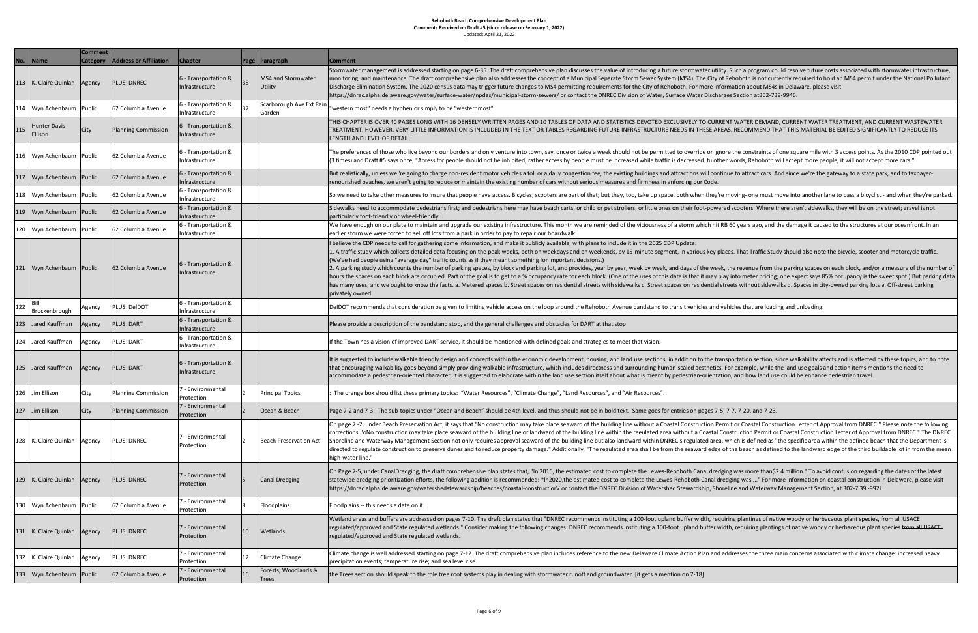|  |  |  | Update |
|--|--|--|--------|

| No. | Name                           | <b>Comment</b><br><b>Category</b> | <b>Address or Affiliation</b> | <b>Chapter</b>                         |             | Page Paragraph                       | <b>Comment</b>                                                                                                                                                                                                                                                                                                                                                                                                                    |
|-----|--------------------------------|-----------------------------------|-------------------------------|----------------------------------------|-------------|--------------------------------------|-----------------------------------------------------------------------------------------------------------------------------------------------------------------------------------------------------------------------------------------------------------------------------------------------------------------------------------------------------------------------------------------------------------------------------------|
| 113 | K. Claire Quinlan              | Agency                            | <b>PLUS: DNREC</b>            | 6 - Transportation &<br>Infrastructure | 35          | MS4 and Stormwater<br>Utility        | Stormwater management is addressed starting on page 6-35. T<br>monitoring, and maintenance. The draft comprehensive plan al<br>Discharge Elimination System. The 2020 census data may trigge<br>https://dnrec.alpha.delaware.gov/water/surface-water/npdes/                                                                                                                                                                       |
| 114 | Wyn Achenbaum                  | Public                            | 62 Columbia Avenue            | 6 - Transportation &<br>Infrastructure | 37          | Scarborough Ave Ext Rain<br>Garden   | "western most" needs a hyphen or simply to be "westernmost"                                                                                                                                                                                                                                                                                                                                                                       |
| 115 | <b>Hunter Davis</b><br>Ellison | City                              | <b>Planning Commission</b>    | 6 - Transportation &<br>Infrastructure |             |                                      | THIS CHAPTER IS OVER 40 PAGES LONG WITH 16 DENSELY WRI<br>TREATMENT. HOWEVER, VERY LITTLE INFORMATION IS INCLUD<br>LENGTH AND LEVEL OF DETAIL.                                                                                                                                                                                                                                                                                    |
| 116 | Wyn Achenbaum Public           |                                   | 62 Columbia Avenue            | 6 - Transportation &<br>Infrastructure |             |                                      | The preferences of those who live beyond our borders and only<br>(3 times) and Draft #5 says once, "Access for people should not                                                                                                                                                                                                                                                                                                  |
| 117 | Wyn Achenbaum   Public         |                                   | 62 Columbia Avenue            | 6 - Transportation &<br>Infrastructure |             |                                      | But realistically, unless we 're going to charge non-resident mot<br>renourished beaches, we aren't going to reduce or maintain the                                                                                                                                                                                                                                                                                               |
| 118 | Wyn Achenbaum                  | Public                            | 62 Columbia Avenue            | 6 - Transportation &<br>Infrastructure |             |                                      | So we need to take other measures to insure that people have a                                                                                                                                                                                                                                                                                                                                                                    |
| 119 | Wyn Achenbaum Public           |                                   | 62 Columbia Avenue            | 6 - Transportation &<br>Infrastructure |             |                                      | Sidewalks need to accommodate pedestrians first; and pedestri<br>particularly foot-friendly or wheel-friendly.                                                                                                                                                                                                                                                                                                                    |
| 120 | Wyn Achenbaum   Public         |                                   | 62 Columbia Avenue            | 6 - Transportation &<br>Infrastructure |             |                                      | We have enough on our plate to maintain and upgrade our exis<br>earlier storm we were forced to sell off lots from a park in order                                                                                                                                                                                                                                                                                                |
| 121 | Wyn Achenbaum   Public         |                                   | 62 Columbia Avenue            | 6 - Transportation &<br>Infrastructure |             |                                      | I believe the CDP needs to call for gathering some information,<br>1. A traffic study which collects detailed data focusing on the pe<br>(We've had people using "average day" traffic counts as if they<br>2. A parking study which counts the number of parking spaces,<br>hours the spaces on each block are occupied. Part of the goal is<br>has many uses, and we ought to know the facts. a. Metered spa<br>privately owned |
| 122 | Bill<br>Brockenbrough          | Agency                            | PLUS: DelDOT                  | 6 - Transportation &<br>Infrastructure |             |                                      | DeIDOT recommends that consideration be given to limiting vel                                                                                                                                                                                                                                                                                                                                                                     |
| 123 | Jared Kauffman                 | Agency                            | <b>PLUS: DART</b>             | 6 - Transportation &<br>Infrastructure |             |                                      | Please provide a description of the bandstand stop, and the ger                                                                                                                                                                                                                                                                                                                                                                   |
| 124 | Jared Kauffman                 | Agency                            | <b>PLUS: DART</b>             | 6 - Transportation &<br>Infrastructure |             |                                      | If the Town has a vision of improved DART service, it should be                                                                                                                                                                                                                                                                                                                                                                   |
| 125 | Jared Kauffman                 | Agency                            | <b>PLUS: DART</b>             | 6 - Transportation &<br>Infrastructure |             |                                      | It is suggested to include walkable friendly design and concepts<br>that encouraging walkability goes beyond simply providing wall<br>accommodate a pedestrian-oriented character, it is suggested t                                                                                                                                                                                                                              |
| 126 | Jim Ellison                    | City                              | <b>Planning Commission</b>    | 7 - Environmental<br>Protection        | 2           | <b>Principal Topics</b>              | The orange box should list these primary topics: "Water Reso                                                                                                                                                                                                                                                                                                                                                                      |
| 127 | Jim Ellison                    | City                              | <b>Planning Commission</b>    | 7 - Environmental<br>Protection        | $ 2\rangle$ | Ocean & Beach                        | Page 7-2 and 7-3: The sub-topics under "Ocean and Beach" sho                                                                                                                                                                                                                                                                                                                                                                      |
| 128 | K. Claire Quinlan              | Agency                            | <b>PLUS: DNREC</b>            | 7 - Environmental<br>Protection        | <u> 2</u>   | Beach Preservation Act               | On page 7 -2, under Beach Preservation Act, it says that "No co<br>corrections: 'oNo construction may take place seaward of the b<br>Shoreline and Waterway Management Section not only require<br>directed to regulate construction to preserve dunes and to redu<br>high-water line."                                                                                                                                           |
| 129 | K. Claire Quinlan              | Agency                            | <b>PLUS: DNREC</b>            | 7 - Environmental<br>Protection        | 15          | Canal Dredging                       | On Page 7-5, under CanalDredging, the draft comprehensive pla<br>statewide dredging prioritization efforts, the following addition<br>https://dnrec.alpha.delaware.gov/watershedstewardship/beac                                                                                                                                                                                                                                  |
| 130 | Wyn Achenbaum   Public         |                                   | 62 Columbia Avenue            | 7 - Environmental<br>Protection        | 8           | Floodplains                          | Floodplains -- this needs a date on it.                                                                                                                                                                                                                                                                                                                                                                                           |
| 131 | K. Claire Quinlan Agency       |                                   | <b>PLUS: DNREC</b>            | 7 - Environmental<br>Protection        | 10          | <b>Wetlands</b>                      | Wetland areas and buffers are addressed on pages 7-10. The dr<br>regulated/approved and State regulated wetlands." Consider m<br>regulated/approved and State regulated wetlands.                                                                                                                                                                                                                                                 |
| 132 | K. Claire Quinlan              | Agency                            | <b>PLUS: DNREC</b>            | 7 - Environmental<br>Protection        | 12          | Climate Change                       | Climate change is well addressed starting on page 7-12. The dra<br>precipitation events; temperature rise; and sea level rise.                                                                                                                                                                                                                                                                                                    |
| 133 | Wyn Achenbaum   Public         |                                   | 62 Columbia Avenue            | 7 - Environmental<br>Protection        | 16          | Forests, Woodlands &<br><b>Trees</b> | the Trees section should speak to the role tree root systems pla                                                                                                                                                                                                                                                                                                                                                                  |

35. The draft comprehensive plan discusses the value of introducing a future stormwater utility. Such a program could resolve future costs associated with stormwater infrastructure, an also addresses the concept of a Municipal Separate Storm Sewer System (MS4). The City of Rehoboth is not currently required to hold an MS4 permit under the National Pollutant rigger future changes to MS4 permitting requirements for the City of Rehoboth. For more information about MS4s in Delaware, please visit odes/municipal-storm-sewers/ or contact the DNREC Division of Water, Surface Water Discharges Section at302-739-9946.

WRITTEN PAGES AND 10 TABLES OF DATA AND STATISTICS DEVOTED EXCLUSIVELY TO CURRENT WATER DEMAND, CURRENT WATER TREATMENT, AND CURRENT WASTEWATER CLUDED IN THE TEXT OR TABLES REGARDING FUTURE INFRASTRUCTURE NEEDS IN THESE AREAS. RECOMMEND THAT THIS MATERIAL BE EDITED SIGNIFICANTLY TO REDUCE ITS

only venture into town, say, once or twice a week should not be permitted to override or ignore the constraints of one square mile with 3 access points. As the 2010 CDP pointed out d not be inhibited; rather access by people must be increased while traffic is decreased. fu other words, Rehoboth will accept more people, it will not accept more cars."

motor vehicles a toll or a daily congestion fee, the existing buildings and attractions will continue to attract cars. And since we're the gateway to a state park, and to taxpayern the existing number of cars without serious measures and firmness in enforcing our Code.

have access. Bicycles, scooters are part of that; but they, too, take up space, both when they're moving- one must move into another lane to pass a bicyclist - and when they're parked.

destrians here may have beach carts, or child or pet strollers, or little ones on their foot-powered scooters. Where there aren't sidewalks, they will be on the street; gravel is not

existing infrastructure. This month we are reminded of the viciousness of a storm which hit RB 60 years ago, and the damage it caused to the structures at our oceanfront. In an order to pay to repair our boardwalk.

tion, and make it publicly available, with plans to include it in the 2025 CDP Update:

ne peak weeks, both on weekdays and on weekends, by 15-minute segment, in various key places. That Traffic Study should also note the bicycle, scooter and motorcycle traffic. hey meant something for important decisions.)

ces, by block and parking lot, and provides, year by year, week by week, and days of the week, the revenue from the parking spaces on each block, and/or a measure of the number of bal is to get to a % occupancy rate for each block. (One of the uses of this data is that it may play into meter pricing; one expert says 85% occupancy is the sweet spot.) But parking data d spaces b. Street spaces on residential streets with sidewalks c. Street spaces on residential streets without sidewalks d. Spaces in city-owned parking lots e. Off-street parking

Ig vehicle access on the loop around the Rehoboth Avenue bandstand to transit vehicles and vehicles that are loading and unloading.

e general challenges and obstacles for DART at that stop

Id be mentioned with defined goals and strategies to meet that vision.

epts within the economic development, housing, and land use sections, in addition to the transportation section, since walkability affects and is affected by these topics, and to note walkable infrastructure, which includes directness and surrounding human-scaled aesthetics. For example, while the land use goals and action items mentions the need to ted to elaborate within the land use section itself about what is meant by pedestrian-orientation, and how land use could be enhance pedestrian travel.

Resources", "Climate Change", "Land Resources", and "Air Resources".

<sup>"</sup> should be 4th level, and thus should not be in bold text. Same goes for entries on pages 7-5, 7-7, 7-20, and 7-23.

No construction may take place seaward of the building line without a Coastal Construction Permit or Coastal Construction Letter of Approval from DNREC." Please note the following the building line or landward of the building line within the reeulated area without a Coastal Construction Permit or Coastal Construction Letter of Approval from DNREC." The DNREC quires approval seaward of the building line but also landward within DNREC's regulated area, which is defined as "the specific area within the defined beach that the Department is reduce property damage." Additionally, "The regulated area shall be from the seaward edge of the beach as defined to the landward edge of the third buildable lot in from the mean

re plan states that, "In 2016, the estimated cost to complete the Lewes-Rehoboth Canal dredging was more than\$2.4 million." To avoid confusion regarding the dates of the latest ition is recommended: \*In2020,the estimated cost to complete the Lewes-Rehoboth Canal dredging was ..." For more information on coastal construction in Delaware, please visit beaches/coastal-constructiorV or contact the DNREC Division of Watershed Stewardship, Shoreline and Waterway Management Section, at 302-7 39 -992I.

he draft plan states that "DNREC recommends instituting a 100-foot upland buffer width, requiring plantings of native woody or herbaceous plant species, from all USACE ler making the following changes: DNREC recommends instituting a 100-foot upland buffer width, requiring plantings of native woody or herbaceous plant species from all USACE

ne draft comprehensive plan includes reference to the new Delaware Climate Action Plan and addresses the three main concerns associated with climate change: increased heavy

s play in dealing with stormwater runoff and groundwater. [it gets a mention on 7-18]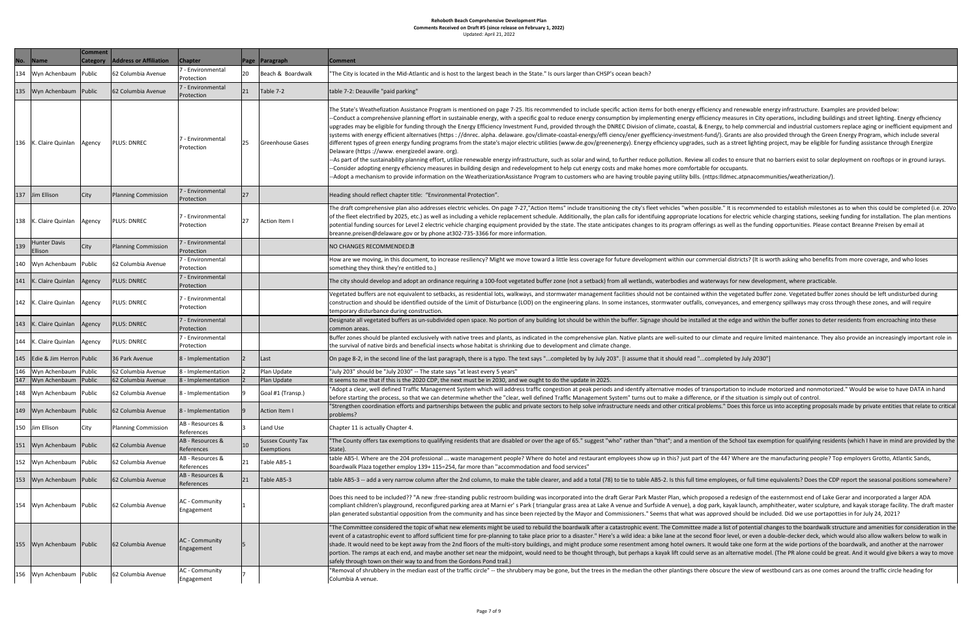| No. | <b>Name</b>                    | <b>Comment</b><br><b>Category</b> | <b>Address or Affiliation</b> | <b>Chapter</b>                        |           | Page Paragraph                                | <b>Comment</b>                                                                                                                                                                                                                                                                                                                                                                                                                                                                                                                                                                                                                                                          |
|-----|--------------------------------|-----------------------------------|-------------------------------|---------------------------------------|-----------|-----------------------------------------------|-------------------------------------------------------------------------------------------------------------------------------------------------------------------------------------------------------------------------------------------------------------------------------------------------------------------------------------------------------------------------------------------------------------------------------------------------------------------------------------------------------------------------------------------------------------------------------------------------------------------------------------------------------------------------|
|     |                                |                                   |                               | 7 - Environmental                     |           |                                               |                                                                                                                                                                                                                                                                                                                                                                                                                                                                                                                                                                                                                                                                         |
| 134 | Wyn Achenbaum                  | Public                            | 62 Columbia Avenue            | Protection                            | 20        | Beach & Boardwalk                             | "The City is located in the Mid-Atlantic and is host to the largest beach in                                                                                                                                                                                                                                                                                                                                                                                                                                                                                                                                                                                            |
| 135 | Wyn Achenbaum Public           |                                   | 62 Columbia Avenue            | 7 - Environmental<br>Protection       | 21        | Table 7-2                                     | table 7-2: Deauville "paid parking"                                                                                                                                                                                                                                                                                                                                                                                                                                                                                                                                                                                                                                     |
|     | 136   K. Claire Quinlan        | Agency                            | <b>PLUS: DNREC</b>            | - Environmental<br>Protection         | 25        | Greenhouse Gases                              | The State's Weathefization Assistance Program is mentioned on page 7-2<br>-Conduct a comprehensive planning effort in sustainable energy, with a<br>upgrades may be eligible for funding through the Energy Efficiency Inves<br>systems with energy efficient alternatives (https : //dnrec. alpha. delawa<br>different types of green energy funding programs from the state's major<br>Delaware (https://www.energizedel aware.org).<br>-As part of the sustainability planning effort, utilize renewable energy in<br>-Consider adopting energy efhciency measures in building design and re<br>-Adopt a mechanism to provide information on the WeatherizationAssis |
| 137 | Jim Ellison                    | <b>City</b>                       | Planning Commission           | 7 - Environmental<br>Protection       | 27        |                                               | Heading should reflect chapter title: "Environmental Protection".                                                                                                                                                                                                                                                                                                                                                                                                                                                                                                                                                                                                       |
| 138 | K. Claire Quinlan              | Agency                            | <b>PLUS: DNREC</b>            | 7 - Environmental<br>Protection       | 27        | Action Item I                                 | The draft comprehensive plan also addresses electric vehicles. On page 7<br>of the fleet electrified by 2025, etc.) as well as including a vehicle replace<br>potential funding sources for Level 2 electric vehicle charging equipment<br>breanne.preisen@delaware.gov or by phone at302-735-3366 for more in                                                                                                                                                                                                                                                                                                                                                          |
| 139 | <b>Hunter Davis</b><br>Ellison | <b>City</b>                       | Planning Commission           | 7 - Environmental<br>Protection       |           |                                               | NO CHANGES RECOMMENDED.[7]                                                                                                                                                                                                                                                                                                                                                                                                                                                                                                                                                                                                                                              |
| 140 | Wyn Achenbaum                  | Public                            | 62 Columbia Avenue            | 7 - Environmental<br>Protection       |           |                                               | How are we moving, in this document, to increase resiliency? Might we r<br>something they think they're entitled to.)                                                                                                                                                                                                                                                                                                                                                                                                                                                                                                                                                   |
|     | 141 K. Claire Quinlan          | Agency                            | <b>PLUS: DNREC</b>            | - Environmental<br><b>IProtection</b> |           |                                               | The city should develop and adopt an ordinance requiring a 100-foot veg                                                                                                                                                                                                                                                                                                                                                                                                                                                                                                                                                                                                 |
|     | 142 K. Claire Quinlan          | Agency                            | <b>PLUS: DNREC</b>            | 7 - Environmental<br>Protection       |           |                                               | Vegetated buffers are not equivalent to setbacks, as residential lots, wall<br>construction and should be identified outside of the Limit of Disturbance<br>temporary disturbance during construction.                                                                                                                                                                                                                                                                                                                                                                                                                                                                  |
| 143 | K. Claire Quinlan              | Agency                            | <b>PLUS: DNREC</b>            | - Environmental<br>Protection         |           |                                               | Designate all vegetated buffers as un-subdivided open space. No portion<br>common areas.                                                                                                                                                                                                                                                                                                                                                                                                                                                                                                                                                                                |
|     | 144   K. Claire Quinlan        | Agency                            | <b>PLUS: DNREC</b>            | 7 - Environmental<br>Protection       |           |                                               | Buffer zones should be planted exclusively with native trees and plants, a<br>the survival of native birds and beneficial insects whose habitat is shrinki                                                                                                                                                                                                                                                                                                                                                                                                                                                                                                              |
| 145 | Edie & Jim Herron   Public     |                                   | 36 Park Avenue                | 8 - Implementation                    | <u> 2</u> | Last                                          | On page 8-2, in the second line of the last paragraph, there is a typo. The                                                                                                                                                                                                                                                                                                                                                                                                                                                                                                                                                                                             |
| 146 | Wyn Achenbaum                  | Public                            | 62 Columbia Avenue            | 8 - Implementation                    |           | Plan Update                                   | "July 203" should be "July 2030" -- The state says "at least every 5 years"                                                                                                                                                                                                                                                                                                                                                                                                                                                                                                                                                                                             |
| 147 | Wyn Achenbaum                  | Public                            | 62 Columbia Avenue            | 8 - Implementation                    |           | Plan Update                                   | It seems to me that if this is the 2020 CDP, the next must be in 2030, anc                                                                                                                                                                                                                                                                                                                                                                                                                                                                                                                                                                                              |
| 148 | Wyn Achenbaum Public           |                                   | 62 Columbia Avenue            | 8 - Implementation                    | 9         | Goal #1 (Transp.)                             | 'Adopt a clear, well defined Traffic Management System which will addr<br>before starting the process, so that we can determine whether the "clear                                                                                                                                                                                                                                                                                                                                                                                                                                                                                                                      |
| 149 | Wyn Achenbaum                  | Public                            | 62 Columbia Avenue            | 8 - Implementation                    | 9         | Action Item I                                 | 'Strengthen coordination efforts and partnerships between the public ar<br>problems?                                                                                                                                                                                                                                                                                                                                                                                                                                                                                                                                                                                    |
|     | 150 Jim Ellison                | City                              | Planning Commission           | AB - Resources &<br>References        | 3         | Land Use                                      | Chapter 11 is actually Chapter 4.                                                                                                                                                                                                                                                                                                                                                                                                                                                                                                                                                                                                                                       |
| 151 | Wyn Achenbaum Public           |                                   | 62 Columbia Avenue            | AB - Resources &<br>References        | 10        | <b>Sussex County Tax</b><br><b>Exemptions</b> | 'The County offers tax exemptions to qualifying residents that are disabl<br>State).                                                                                                                                                                                                                                                                                                                                                                                                                                                                                                                                                                                    |
| 152 | Wyn Achenbaum                  | Public                            | 62 Columbia Avenue            | AB - Resources &<br>References        | 21        | Table AB5-1                                   | table AB5-I. Where are the 204 professional  waste management peop<br>Boardwalk Plaza together employ 139+ 115=254, far more than "accomr                                                                                                                                                                                                                                                                                                                                                                                                                                                                                                                               |
| 153 | Wyn Achenbaum Public           |                                   | 62 Columbia Avenue            | <b>AB</b> - Resources &<br>References | 21        | Table AB5-3                                   | table AB5-3 -- add a very narrow column after the 2nd column, to make                                                                                                                                                                                                                                                                                                                                                                                                                                                                                                                                                                                                   |
|     | 154   Wyn Achenbaum   Public   |                                   | 62 Columbia Avenue            | AC - Community<br>Engagement          |           |                                               | Does this need to be included?? "A new :free-standing public restroom b<br>compliant children's playground, reconfigured parking area at Marni er's<br>plan generated substantial opposition from the community and has since                                                                                                                                                                                                                                                                                                                                                                                                                                           |
| 155 | Wyn Achenbaum Public           |                                   | 62 Columbia Avenue            | AC - Community<br>Engagement          |           |                                               | "The Committee considered the topic of what new elements might be us<br>event of a catastrophic event to afford sufficient time for pre-planning to<br>shade. It would need to be kept away from the 2nd floors of the multi-st<br>portion. The ramps at each end, and maybe another set near the midpoi<br>safely through town on their way to and from the Gordons Pond trail.)                                                                                                                                                                                                                                                                                       |
| 156 | Wyn Achenbaum                  | Public                            | 62 Columbia Avenue            | AC - Community<br>Engagement          |           |                                               | "Removal of shrubbery in the median east of the traffic circle" -- the shru<br>Columbia A venue.                                                                                                                                                                                                                                                                                                                                                                                                                                                                                                                                                                        |

rgest beach in the State." Is ours larger than CHSP's ocean beach?

ed on page 7-25. Itis recommended to include specific action items for both energy efficiency and renewable energy infrastructure. Examples are provided below: nergy, with a specific goal to reduce energy consumption by implementing energy efficiency measures in City operations, including buildings and street lighting. Energy efhciency ficiency Investment Fund, provided through the DNREC Division of climate, coastal, & Energy, to help commercial and industrial customers replace aging or inefficient equipment and alpha. delaware. gov/climate-coastal-energy/effi ciency/ener gyefficiency-investment-fund/). Grants are also provided through the Green Energy Program, which include several state's major electric utilities (www.de.gov/greenenergy). Energy efhciency upgrades, such as a street lighting project, may be eligible for funding assistance through Energize

able energy infrastructure, such as solar and wind, to further reduce pollution. Review all codes to ensure that no barriers exist to solar deployment on rooftops or in ground iurays. design and redevelopment to help cut energy costs and make homes more comfortable for occupants. erizationAssistance Program to customers who are having trouble paying utility bills. (nttps:lldmec.atpnacommunities/weatherization/).

les. On page 7-27,"Action Items" include transitioning the city's fleet vehicles "when possible." It is recommended to establish milestones as to when this could be completed (i.e. 20Vo ehicle replacement schedule. Additionally, the plan calls for identifuing appropriate locations for electric vehicle charging stations, seeking funding for installation. The plan mentions ng equipment provided by the state. The state anticipates changes to its program offerings as well as the funding opportunities. Please contact Breanne Preisen by email at 66 for more information.

y? Might we move toward a little less coverage for future development within our commercial districts? (It is worth asking who benefits from more coverage, and who loses

100-foot vegetated buffer zone (not a setback) from all wetlands, waterbodies and waterways for new development, where practicable.

ntial lots, walkways, and stormwater management facilities should not be contained within the vegetated buffer zone. Vegetated buffer zones should be left undisturbed during of Disturbance (LOD) on the engineering plans. In some instances, stormwater outfalls, conveyances, and emergency spillways may cross through these zones, and will require

ce. No portion of any building lot should be within the buffer. Signage should be installed at the edge and within the buffer zones to deter residents from encroaching into these

s and plants, as indicated in the comprehensive plan. Native plants are well-suited to our climate and require limited maintenance. They also provide an increasingly important role in bitat is shrinking due to development and climate change.

is a typo. The text says "...completed by by July 203". [I assume that it should read "...completed by July 2030"]

e in 2030, and we ought to do the update in 2025.

hich will address traffic congestion at peak periods and identify alternative modes of transportation to include motorized and nonmotorized." Would be wise to have DATA in hand ther the "clear, well defined Traffic Management System" turns out to make a difference, or if the situation is simply out of control.

n the public and private sectors to help solve infrastructure needs and other critical problems." Does this force us into accepting proposals made by private entities that relate to critical

hat are disabled or over the age of 65." suggest "who" rather than "that"; and a mention of the School tax exemption for qualifying residents (which I have in mind are provided by the

gement people? Where do hotel and restaurant employees show up in this? just part of the 44? Where are the manufacturing people? Top employers Grotto, Atlantic Sands, than "accommodation and food services"

mn, to make the table clearer, and add a total (78) to tie to table AB5-2. Is this full time employees, or full time equivalents? Does the CDP report the seasonal positions somewhere?

llic restroom building was incorporated into the draft Gerar Park Master Plan, which proposed a redesign of the easternmost end of Lake Gerar and incorporated a larger ADA at Marni er's Park (triangular grass area at Lake A venue and Surfside A venue), a dog park, kayak launch, amphitheater, water sculpture, and kayak storage facility. The draft master and has since been rejected by the Mayor and Commissioners." Seems that what was approved should be included. Did we use portapotties in for July 24, 2021?

ts might be used to rebuild the boardwalk after a catastrophic event. The Committee made a list of potential changes to the boardwalk structure and amenities for consideration in the re-planning to take place prior to a disaster." Here's a wild idea: a bike lane at the second floor level, or even a double-decker deck, which would also allow walkers below to walk in of the multi-story buildings, and might produce some resentment among hotel owners. It would take one form at the wide portions of the boardwalk, and another at the narrower ar the midpoint, would need to be thought through, but perhaps a kayak lift could serve as an alternative model. (The PR alone could be great. And it would give bikers a way to move Pond trail.)

le" -- the shrubbery may be gone, but the trees in the median the other plantings there obscure the view of westbound cars as one comes around the traffic circle heading for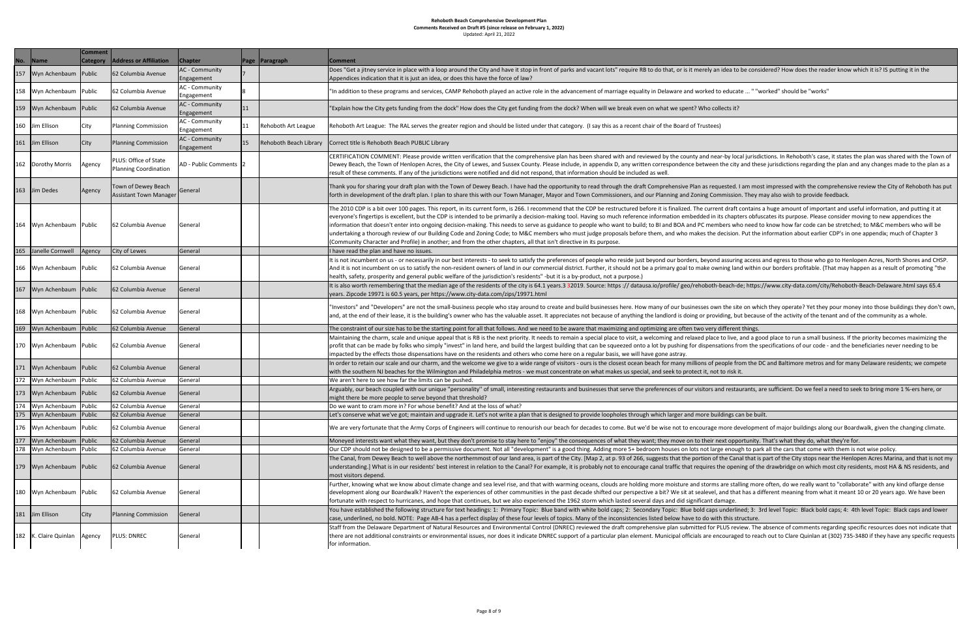| ---- | --------- |         |  |
|------|-----------|---------|--|
|      |           |         |  |
|      |           | Updated |  |

| No. | Name                    | <b>Comment</b><br><b>Category</b> | <b>Address or Affiliation</b>                         | <b>Chapter</b>                      | Page | $\vert$ Paragraph      | <b>Comment</b>                                                                                                                                                                                                                                                                                                                                                                                       |
|-----|-------------------------|-----------------------------------|-------------------------------------------------------|-------------------------------------|------|------------------------|------------------------------------------------------------------------------------------------------------------------------------------------------------------------------------------------------------------------------------------------------------------------------------------------------------------------------------------------------------------------------------------------------|
| 157 | Wyn Achenbaum           | Public                            | 62 Columbia Avenue                                    | AC - Community<br>Engagement        |      |                        | Does "Get a jitney service in place with a loop around the City and have it :<br>Appendices indication that it is just an idea, or does this have the force of I                                                                                                                                                                                                                                     |
| 158 | Wyn Achenbaum           | Public                            | 62 Columbia Avenue                                    | <b>AC</b> - Community<br>Engagement |      |                        | 'In addition to these programs and services, CAMP Rehoboth played an ac                                                                                                                                                                                                                                                                                                                              |
| 159 | Wyn Achenbaum           | Public                            | 62 Columbia Avenue                                    | <b>AC</b> - Community<br>Engagement | 11   |                        | 'Explain how the City gets funding from the dock" How does the City get f                                                                                                                                                                                                                                                                                                                            |
| 160 | Jim Ellison             | City                              | <b>Planning Commission</b>                            | <b>AC</b> - Community<br>Engagement | 11   | Rehoboth Art League    | Rehoboth Art League: The RAL serves the greater region and should be lis                                                                                                                                                                                                                                                                                                                             |
| 161 | Jim Ellison             | City                              | Planning Commission                                   | AC - Community<br>Engagement        | 15   | Rehoboth Beach Library | Correct title is Rehoboth Beach PUBLIC Library                                                                                                                                                                                                                                                                                                                                                       |
| 162 | Dorothy Morris          | Agency                            | PLUS: Office of State<br><b>Planning Coordination</b> | AD - Public Comments  2             |      |                        | CERTIFICATION COMMENT: Please provide written verification that the co<br>Dewey Beach, the Town of Henlopen Acres, the City of Lewes, and Sussex<br>result of these comments. If any of the jurisdictions were notified and did                                                                                                                                                                      |
| 163 | Jim Dedes               | Agency                            | Town of Dewey Beach<br><b>Assistant Town Manager</b>  | General                             |      |                        | Thank you for sharing your draft plan with the Town of Dewey Beach. I hav<br>forth in development of the draft plan. I plan to share this with our Town I                                                                                                                                                                                                                                            |
| 164 | Wyn Achenbaum Public    |                                   | 62 Columbia Avenue                                    | General                             |      |                        | The 2010 CDP is a bit over 100 pages. This report, in its current form, is 26<br>everyone's fingertips is excellent, but the CDP is intended to be primarily a<br>information that doesn't enter into ongoing decision-making. This needs to<br>undertaking a thorough review of our Building Code and Zoning Code; to N<br>(Community Character and Profile) in another; and from the other chapter |
| 165 | Janelle Cornwell        | Agency                            | City of Lewes                                         | General                             |      |                        | I have read the plan and have no issues.                                                                                                                                                                                                                                                                                                                                                             |
| 166 | Wyn Achenbaum           | Public                            | 62 Columbia Avenue                                    | General                             |      |                        | It is not incumbent on us - or necessarily in our best interests - to seek to s<br>And it is not incumbent on us to satisfy the non-resident owners of land in<br>health, safety, prosperity and general public welfare of the jurisdiction's re                                                                                                                                                     |
| 167 | Wyn Achenbaum Public    |                                   | 62 Columbia Avenue                                    | General                             |      |                        | It is also worth remembering that the median age of the residents of the c<br>years. Zipcode 19971 is 60.5 years, per https://www.city-data.com/zips/19                                                                                                                                                                                                                                              |
| 168 | Wyn Achenbaum Public    |                                   | 62 Columbia Avenue                                    | General                             |      |                        | "Investors" and "Developers" are not the small-business people who stay a<br>and, at the end of their lease, it is the building's owner who has the valuab                                                                                                                                                                                                                                           |
| 169 | Wyn Achenbaum           | Public                            | 62 Columbia Avenue                                    | General                             |      |                        | The constraint of our size has to be the starting point for all that follows. A                                                                                                                                                                                                                                                                                                                      |
| 170 | Wyn Achenbaum Public    |                                   | 62 Columbia Avenue                                    | General                             |      |                        | Maintaining the charm, scale and unique appeal that is RB is the next prior<br>profit that can be made by folks who simply "invest" in land here, and buil<br>impacted by the effects those dispensations have on the residents and oth                                                                                                                                                              |
| 171 | Wyn Achenbaum           | Public                            | 62 Columbia Avenue                                    | General                             |      |                        | In order to retain our scale and our charm, and the welcome we give to a v<br>with the southern NJ beaches for the Wilmington and Philadelphia metros                                                                                                                                                                                                                                                |
| 172 | Wyn Achenbaum           | Public                            | 62 Columbia Avenue                                    | General                             |      |                        | We aren't here to see how far the limits can be pushed.                                                                                                                                                                                                                                                                                                                                              |
| 173 | Wyn Achenbaum           | Public                            | 62 Columbia Avenue                                    | General                             |      |                        | Arguably, our beach coupled with our unique "personality" of small, intere<br>might there be more people to serve beyond that threshold?                                                                                                                                                                                                                                                             |
| 174 | Wyn Achenbaum           | Public                            | 62 Columbia Avenue                                    | General                             |      |                        | Do we want to cram more in? For whose benefit? And at the loss of what?                                                                                                                                                                                                                                                                                                                              |
| 175 | Wyn Achenbaum           | Public                            | 62 Columbia Avenue                                    | General                             |      |                        | Let's conserve what we've got; maintain and upgrade it. Let's not write a p                                                                                                                                                                                                                                                                                                                          |
| 176 | Wyn Achenbaum           | Public                            | 62 Columbia Avenue                                    | General                             |      |                        | We are very fortunate that the Army Corps of Engineers will continue to re                                                                                                                                                                                                                                                                                                                           |
| 177 | Wyn Achenbaum           | Public                            | 62 Columbia Avenue                                    | General                             |      |                        | Moneyed interests want what they want, but they don't promise to stay h                                                                                                                                                                                                                                                                                                                              |
| 178 | Wyn Achenbaum           | Public                            | 62 Columbia Avenue                                    | General                             |      |                        | Our CDP should not be designed to be a permissive document. Not all "dev                                                                                                                                                                                                                                                                                                                             |
| 179 | Wyn Achenbaum           | Public                            | 62 Columbia Avenue                                    | General                             |      |                        | The Canal, from Dewey Beach to well above the northernmost of our land<br>understanding.] What is in our residents' best interest in relation to the Ca<br>most visitors depend.                                                                                                                                                                                                                     |
| 180 | Wyn Achenbaum           | Public                            | 62 Columbia Avenue                                    | General                             |      |                        | Further, knowing what we know about climate change and sea level rise, a<br>development along our Boardwalk? Haven't the experiences of other com<br>fortunate with respect to hurricanes, and hope that continues, but we also                                                                                                                                                                      |
| 181 | Jim Ellison             | City                              | Planning Commission                                   | General                             |      |                        | You have established the following structure for text headings: 1: Primary<br>case, underlined, no bold. NOTE: Page AB-4 has a perfect display of these                                                                                                                                                                                                                                              |
|     | 182   K. Claire Quinlan | Agency                            | <b>PLUS: DNREC</b>                                    | General                             |      |                        | Staff from the Delaware Department of Natural Resources and Environme<br>there are not additional constraints or environmental issues, nor does it in<br>for information.                                                                                                                                                                                                                            |

ity and have it stop in front of parks and vacant lots" require RB to do that, or is it merely an idea to be considered? How does the reader know which it is? IS putting it in the ve the force of law?

8 th played an active role in the advancement of marriage equality in Delaware and worked to educate ... " "worked" should be "works"

es the City get funding from the dock? When will we break even on what we spent? Who collects it?

nd should be listed under that category. (I say this as a recent chair of the Board of Trustees)

tion that the comprehensive plan has been shared with and reviewed by the county and near-by local jurisdictions. In Rehoboth's case, it states the plan was shared with the Town of res, and Sussex County. Please include, in appendix D, any written correspondence between the city and these jurisdictions regarding the plan and any changes made to the plan as a otified and did not respond, that information should be included as well.

vey Beach. I have had the opportunity to read through the draft Comprehensive Plan as requested. I am most impressed with the comprehensive review the City of Rehoboth has put with our Town Manager, Mayor and Town Commissioners, and our Planning and Zoning Commission. They may also wish to provide feedback.

rent form, is 266. I recommend that the CDP be restructured before it is finalized. The current draft contains a huge amount of important and useful information, and putting it at to be primarily a decision-making tool. Having so much reference information embedded in its chapters obfuscates its purpose. Please consider moving to new appendices the ng. This needs to serve as guidance to people who want to build; to BI and BOA and PC members who need to know how far code can be stretched; to M&C members who will be oning Code; to M&C members who must judge proposals before them, and who makes the decision. Put the information about earlier CDP's in one appendix; much of Chapter 3 (e other chapters, all that isn't directive in its purpose.

ts - to seek to satisfy the preferences of people who reside just beyond our borders, beyond assuring access and egress to those who go to Henlopen Acres, North Shores and CHSP. wners of land in our commercial district. Further, it should not be a primary goal to make owning land within our borders profitable. (That may happen as a result of promoting "the jurisdiction's residents" -but it is a by-product, not a purpose.)

sidents of the city is 64.1 years.3 32019. Source: https://datausa.io/profile/geo/rehoboth-beach-de; https://www.city-data.com/city/Rehoboth-Beach-Delaware.html says 65.4 ata.com/zips/19971.html

ople who stay around to create and build businesses here. How many of our businesses own the site on which they operate? Yet they pour money into those buildings they don't own, o has the valuable asset. It appreciates not because of anything the landlord is doing or providing, but because of the activity of the tenant and of the community as a whole.

I that follows. And we need to be aware that maximizing and optimizing are often two very different things.

is the next priority. It needs to remain a special place to visit, a welcoming and relaxed place to live, and a good place to run a small business. If the priority becomes maximizing the d here, and build the largest building that can be squeezed onto a lot by pushing for dispensations from the specifications of our code - and the beneficiaries never needing to be isidents and others who come here on a regular basis, we will have gone astray.

e we give to a wide range of visitors - ours is the closest ocean beach for many millions of people from the DC and Baltimore metros and for many Delaware residents; we compete delphia metros - we must concentrate on what makes us special, and seek to protect it, not to risk it.

' of small, interesting restaurants and businesses that serve the preferences of our visitors and restaurants, are sufficient. Do we feel a need to seek to bring more 1 %-ers here, or

t's not write a plan that is designed to provide loopholes through which larger and more buildings can be built.

ill continue to renourish our beach for decades to come. But we'd be wise not to encourage more development of major buildings along our Boardwalk, given the changing climate.

omise to stay here to "enjoy" the consequences of what they want; they move on to their next opportunity. That's what they do, what they're for.

ent. Not all "development" is a good thing. Adding more 5+ bedroom houses on lots not large enough to park all the cars that come with them is not wise policy.

ost of our land area, is part of the City. [Map 2, at p. 93 of 266, suggests that the portion of the Canal that is part of the City stops near the Henlopen Acres Marina, and that is not my lation to the Canal? For example, it is probably not to encourage canal traffic that requires the opening of the drawbridge on which most city residents, most HA & NS residents, and

sea level rise, and that with warming oceans, clouds are holding more moisture and storms are stalling more often, do we really want to "collaborate" with any kind oflarge dense es of other communities in the past decade shifted our perspective a bit? We sit at sealevel, and that has a different meaning from what it meant 10 or 20 years ago. We have been ues, but we also experienced the 1962 storm which lasted several days and did significant damage.

ngs: 1: Primary Topic: Blue band with white bold caps; 2: Secondary Topic: Blue bold caps underlined; 3: 3rd level Topic: Black bold caps; 4: 4th level Topic: Black caps and lower display of these four levels of topics. Many of the inconsistencies listed below have to do with this structure.

and Environmental Control (DNREC) reviewed the draft comprehensive plan submitted for PLUS review. The absence of comments regarding specific resources does not indicate that es, nor does it indicate DNREC support of a particular plan element. Municipal officials are encouraged to reach out to Clare Quinlan at (302) 735-3480 if they have any specific requests